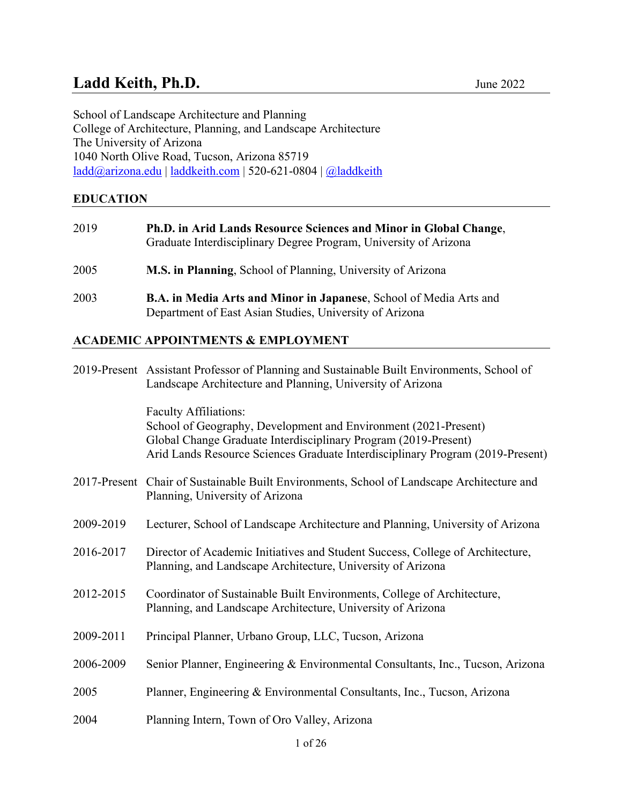# Ladd Keith, Ph.D. **June 2022**

School of Landscape Architecture and Planning College of Architecture, Planning, and Landscape Architecture The University of Arizona 1040 North Olive Road, Tucson, Arizona 85719 [ladd@arizona.edu](mailto:ladd@arizona.edu) | [laddkeith.com](http://www.laddkeith.com/) | 520-621-0804 | [@laddkeith](https://twitter.com/laddkeith)

**EDUCATION** 

| 2019 | Ph.D. in Arid Lands Resource Sciences and Minor in Global Change,<br>Graduate Interdisciplinary Degree Program, University of Arizona |
|------|---------------------------------------------------------------------------------------------------------------------------------------|
| 2005 | M.S. in Planning, School of Planning, University of Arizona                                                                           |
| 2003 | <b>B.A. in Media Arts and Minor in Japanese, School of Media Arts and</b><br>Department of East Asian Studies, University of Arizona  |

# **ACADEMIC APPOINTMENTS & EMPLOYMENT**

|           | 2019-Present Assistant Professor of Planning and Sustainable Built Environments, School of<br>Landscape Architecture and Planning, University of Arizona                                                                                             |
|-----------|------------------------------------------------------------------------------------------------------------------------------------------------------------------------------------------------------------------------------------------------------|
|           | <b>Faculty Affiliations:</b><br>School of Geography, Development and Environment (2021-Present)<br>Global Change Graduate Interdisciplinary Program (2019-Present)<br>Arid Lands Resource Sciences Graduate Interdisciplinary Program (2019-Present) |
|           | 2017-Present Chair of Sustainable Built Environments, School of Landscape Architecture and<br>Planning, University of Arizona                                                                                                                        |
| 2009-2019 | Lecturer, School of Landscape Architecture and Planning, University of Arizona                                                                                                                                                                       |
| 2016-2017 | Director of Academic Initiatives and Student Success, College of Architecture,<br>Planning, and Landscape Architecture, University of Arizona                                                                                                        |
| 2012-2015 | Coordinator of Sustainable Built Environments, College of Architecture,<br>Planning, and Landscape Architecture, University of Arizona                                                                                                               |
| 2009-2011 | Principal Planner, Urbano Group, LLC, Tucson, Arizona                                                                                                                                                                                                |
| 2006-2009 | Senior Planner, Engineering & Environmental Consultants, Inc., Tucson, Arizona                                                                                                                                                                       |
| 2005      | Planner, Engineering & Environmental Consultants, Inc., Tucson, Arizona                                                                                                                                                                              |
| 2004      | Planning Intern, Town of Oro Valley, Arizona                                                                                                                                                                                                         |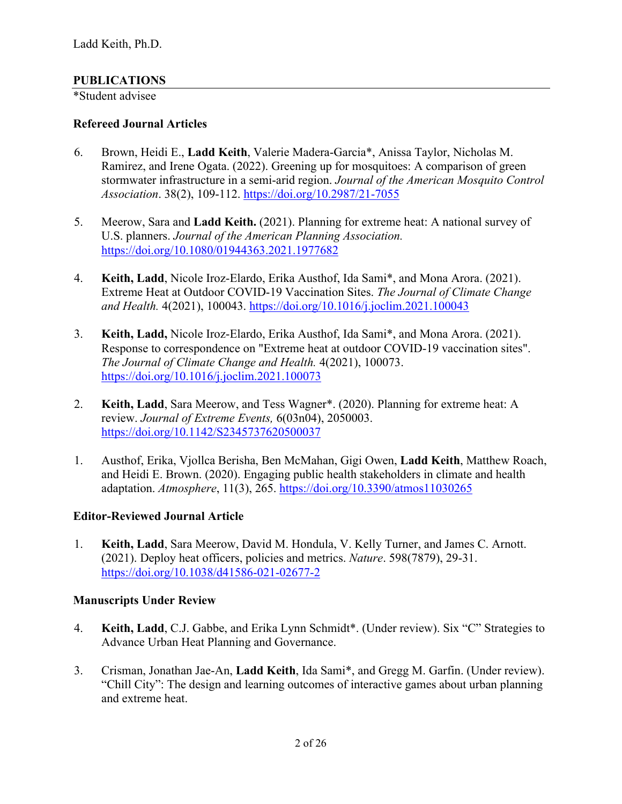### **PUBLICATIONS**

\*Student advisee

#### **Refereed Journal Articles**

- 6. Brown, Heidi E., **Ladd Keith**, Valerie Madera-Garcia\*, Anissa Taylor, Nicholas M. Ramirez, and Irene Ogata. (2022). Greening up for mosquitoes: A comparison of green stormwater infrastructure in a semi-arid region. *Journal of the American Mosquito Control Association*. 38(2), 109-112.<https://doi.org/10.2987/21-7055>
- 5. Meerow, Sara and **Ladd Keith.** (2021). Planning for extreme heat: A national survey of U.S. planners. *Journal of the American Planning Association.* <https://doi.org/10.1080/01944363.2021.1977682>
- 4. **Keith, Ladd**, Nicole Iroz-Elardo, Erika Austhof, Ida Sami\*, and Mona Arora. (2021). Extreme Heat at Outdoor COVID-19 Vaccination Sites. *The Journal of Climate Change and Health.* 4(2021), 100043. <https://doi.org/10.1016/j.joclim.2021.100043>
- 3. **Keith, Ladd,** Nicole Iroz-Elardo, Erika Austhof, Ida Sami\*, and Mona Arora. (2021). Response to correspondence on "Extreme heat at outdoor COVID-19 vaccination sites". *The Journal of Climate Change and Health.* 4(2021), 100073. <https://doi.org/10.1016/j.joclim.2021.100073>
- 2. **Keith, Ladd**, Sara Meerow, and Tess Wagner\*. (2020). Planning for extreme heat: A review. *Journal of Extreme Events,* 6(03n04), 2050003. <https://doi.org/10.1142/S2345737620500037>
- 1. Austhof, Erika, Vjollca Berisha, Ben McMahan, Gigi Owen, **Ladd Keith**, Matthew Roach, and Heidi E. Brown. (2020). Engaging public health stakeholders in climate and health adaptation. *Atmosphere*, 11(3), 265. <https://doi.org/10.3390/atmos11030265>

# **Editor-Reviewed Journal Article**

1. **Keith, Ladd**, Sara Meerow, David M. Hondula, V. Kelly Turner, and James C. Arnott. (2021). Deploy heat officers, policies and metrics. *Nature*. 598(7879), 29-31. <https://doi.org/10.1038/d41586-021-02677-2>

#### **Manuscripts Under Review**

- 4. **Keith, Ladd**, C.J. Gabbe, and Erika Lynn Schmidt\*. (Under review). Six "C" Strategies to Advance Urban Heat Planning and Governance.
- 3. Crisman, Jonathan Jae-An, **Ladd Keith**, Ida Sami\*, and Gregg M. Garfin. (Under review). "Chill City": The design and learning outcomes of interactive games about urban planning and extreme heat.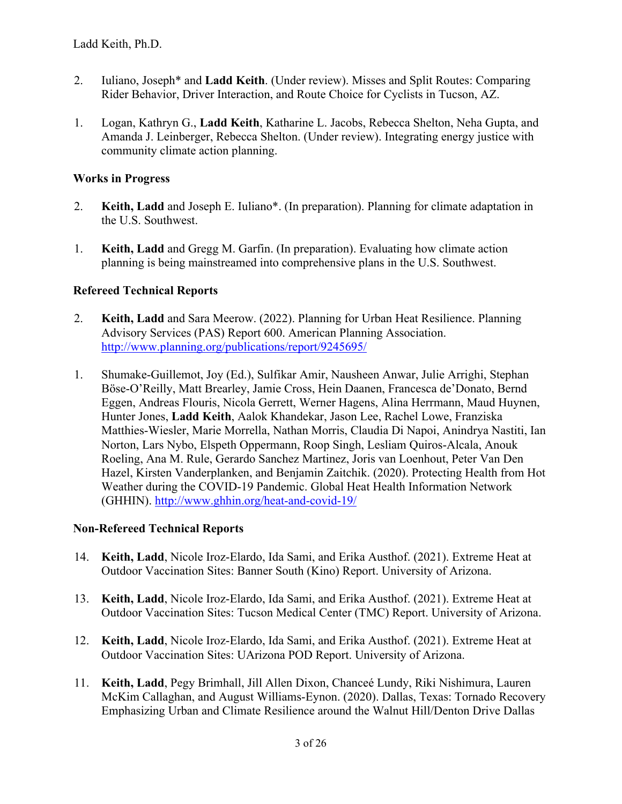- 2. Iuliano, Joseph\* and **Ladd Keith**. (Under review). Misses and Split Routes: Comparing Rider Behavior, Driver Interaction, and Route Choice for Cyclists in Tucson, AZ.
- 1. Logan, Kathryn G., **Ladd Keith**, Katharine L. Jacobs, Rebecca Shelton, Neha Gupta, and Amanda J. Leinberger, Rebecca Shelton. (Under review). Integrating energy justice with community climate action planning.

### **Works in Progress**

- 2. **Keith, Ladd** and Joseph E. Iuliano\*. (In preparation). Planning for climate adaptation in the U.S. Southwest.
- 1. **Keith, Ladd** and Gregg M. Garfin. (In preparation). Evaluating how climate action planning is being mainstreamed into comprehensive plans in the U.S. Southwest.

### **Refereed Technical Reports**

- 2. **Keith, Ladd** and Sara Meerow. (2022). Planning for Urban Heat Resilience. Planning Advisory Services (PAS) Report 600. American Planning Association. <http://www.planning.org/publications/report/9245695/>
- 1. Shumake-Guillemot, Joy (Ed.), Sulfikar Amir, Nausheen Anwar, Julie Arrighi, Stephan Böse-O'Reilly, Matt Brearley, Jamie Cross, Hein Daanen, Francesca de'Donato, Bernd Eggen, Andreas Flouris, Nicola Gerrett, Werner Hagens, Alina Herrmann, Maud Huynen, Hunter Jones, **Ladd Keith**, Aalok Khandekar, Jason Lee, Rachel Lowe, Franziska Matthies-Wiesler, Marie Morrella, Nathan Morris, Claudia Di Napoi, Anindrya Nastiti, Ian Norton, Lars Nybo, Elspeth Oppermann, Roop Singh, Lesliam Quiros-Alcala, Anouk Roeling, Ana M. Rule, Gerardo Sanchez Martinez, Joris van Loenhout, Peter Van Den Hazel, Kirsten Vanderplanken, and Benjamin Zaitchik. (2020). Protecting Health from Hot Weather during the COVID-19 Pandemic. Global Heat Health Information Network (GHHIN).<http://www.ghhin.org/heat-and-covid-19/>

#### **Non-Refereed Technical Reports**

- 14. **Keith, Ladd**, Nicole Iroz-Elardo, Ida Sami, and Erika Austhof. (2021). Extreme Heat at Outdoor Vaccination Sites: Banner South (Kino) Report. University of Arizona.
- 13. **Keith, Ladd**, Nicole Iroz-Elardo, Ida Sami, and Erika Austhof. (2021). Extreme Heat at Outdoor Vaccination Sites: Tucson Medical Center (TMC) Report. University of Arizona.
- 12. **Keith, Ladd**, Nicole Iroz-Elardo, Ida Sami, and Erika Austhof. (2021). Extreme Heat at Outdoor Vaccination Sites: UArizona POD Report. University of Arizona.
- 11. **Keith, Ladd**, Pegy Brimhall, Jill Allen Dixon, Chanceé Lundy, Riki Nishimura, Lauren McKim Callaghan, and August Williams-Eynon. (2020). Dallas, Texas: Tornado Recovery Emphasizing Urban and Climate Resilience around the Walnut Hill/Denton Drive Dallas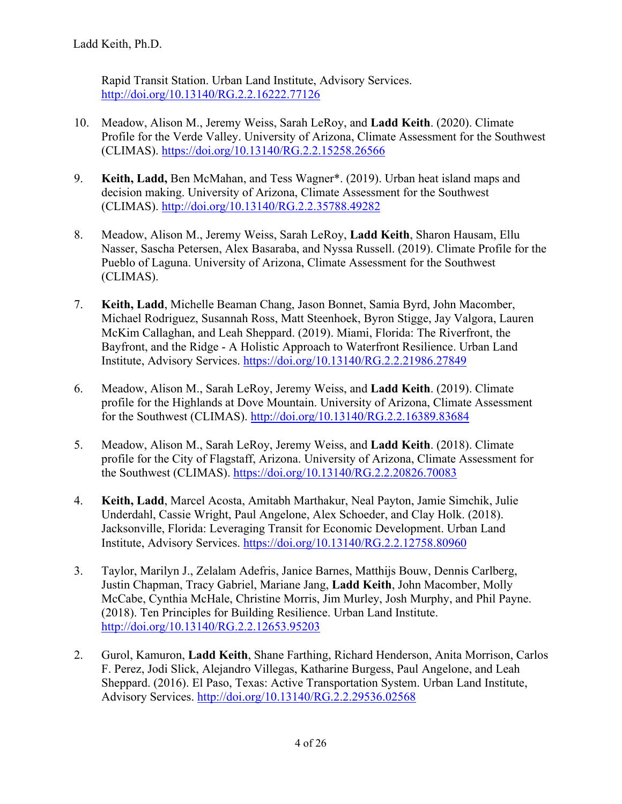Rapid Transit Station. Urban Land Institute, Advisory Services. <http://doi.org/10.13140/RG.2.2.16222.77126>

- 10. Meadow, Alison M., Jeremy Weiss, Sarah LeRoy, and **Ladd Keith**. (2020). Climate Profile for the Verde Valley. University of Arizona, Climate Assessment for the Southwest (CLIMAS).<https://doi.org/10.13140/RG.2.2.15258.26566>
- 9. **Keith, Ladd,** Ben McMahan, and Tess Wagner\*. (2019). Urban heat island maps and decision making. University of Arizona, Climate Assessment for the Southwest (CLIMAS).<http://doi.org/10.13140/RG.2.2.35788.49282>
- 8. Meadow, Alison M., Jeremy Weiss, Sarah LeRoy, **Ladd Keith**, Sharon Hausam, Ellu Nasser, Sascha Petersen, Alex Basaraba, and Nyssa Russell. (2019). Climate Profile for the Pueblo of Laguna. University of Arizona, Climate Assessment for the Southwest (CLIMAS).
- 7. **Keith, Ladd**, Michelle Beaman Chang, Jason Bonnet, Samia Byrd, John Macomber, Michael Rodriguez, Susannah Ross, Matt Steenhoek, Byron Stigge, Jay Valgora, Lauren McKim Callaghan, and Leah Sheppard. (2019). Miami, Florida: The Riverfront, the Bayfront, and the Ridge - A Holistic Approach to Waterfront Resilience. Urban Land Institute, Advisory Services.<https://doi.org/10.13140/RG.2.2.21986.27849>
- 6. Meadow, Alison M., Sarah LeRoy, Jeremy Weiss, and **Ladd Keith**. (2019). Climate profile for the Highlands at Dove Mountain. University of Arizona, Climate Assessment for the Southwest (CLIMAS). <http://doi.org/10.13140/RG.2.2.16389.83684>
- 5. Meadow, Alison M., Sarah LeRoy, Jeremy Weiss, and **Ladd Keith**. (2018). Climate profile for the City of Flagstaff, Arizona. University of Arizona, Climate Assessment for the Southwest (CLIMAS). <https://doi.org/10.13140/RG.2.2.20826.70083>
- 4. **Keith, Ladd**, Marcel Acosta, Amitabh Marthakur, Neal Payton, Jamie Simchik, Julie Underdahl, Cassie Wright, Paul Angelone, Alex Schoeder, and Clay Holk. (2018). Jacksonville, Florida: Leveraging Transit for Economic Development. Urban Land Institute, Advisory Services.<https://doi.org/10.13140/RG.2.2.12758.80960>
- 3. Taylor, Marilyn J., Zelalam Adefris, Janice Barnes, Matthijs Bouw, Dennis Carlberg, Justin Chapman, Tracy Gabriel, Mariane Jang, **Ladd Keith**, John Macomber, Molly McCabe, Cynthia McHale, Christine Morris, Jim Murley, Josh Murphy, and Phil Payne. (2018). Ten Principles for Building Resilience. Urban Land Institute. <http://doi.org/10.13140/RG.2.2.12653.95203>
- 2. Gurol, Kamuron, **Ladd Keith**, Shane Farthing, Richard Henderson, Anita Morrison, Carlos F. Perez, Jodi Slick, Alejandro Villegas, Katharine Burgess, Paul Angelone, and Leah Sheppard. (2016). El Paso, Texas: Active Transportation System. Urban Land Institute, Advisory Services.<http://doi.org/10.13140/RG.2.2.29536.02568>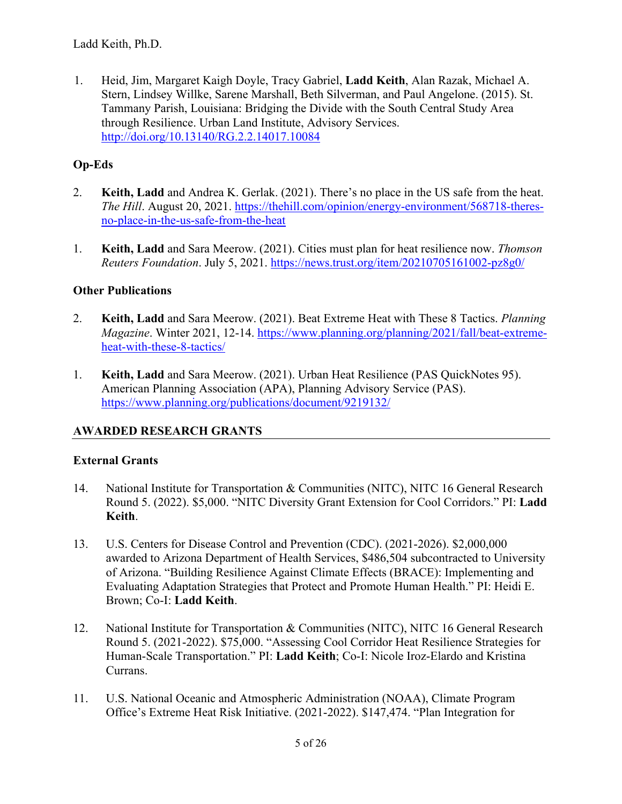1. Heid, Jim, Margaret Kaigh Doyle, Tracy Gabriel, **Ladd Keith**, Alan Razak, Michael A. Stern, Lindsey Willke, Sarene Marshall, Beth Silverman, and Paul Angelone. (2015). St. Tammany Parish, Louisiana: Bridging the Divide with the South Central Study Area through Resilience. Urban Land Institute, Advisory Services. <http://doi.org/10.13140/RG.2.2.14017.10084>

# **Op-Eds**

- 2. **Keith, Ladd** and Andrea K. Gerlak. (2021). There's no place in the US safe from the heat. *The Hill*. August 20, 2021. [https://thehill.com/opinion/energy-environment/568718-theres](https://thehill.com/opinion/energy-environment/568718-theres-no-place-in-the-us-safe-from-the-heat)[no-place-in-the-us-safe-from-the-heat](https://thehill.com/opinion/energy-environment/568718-theres-no-place-in-the-us-safe-from-the-heat)
- 1. **Keith, Ladd** and Sara Meerow. (2021). Cities must plan for heat resilience now. *Thomson Reuters Foundation*. July 5, 2021. <https://news.trust.org/item/20210705161002-pz8g0/>

### **Other Publications**

- 2. **Keith, Ladd** and Sara Meerow. (2021). Beat Extreme Heat with These 8 Tactics. *Planning Magazine*. Winter 2021, 12-14. [https://www.planning.org/planning/2021/fall/beat-extreme](https://www.planning.org/planning/2021/fall/beat-extreme-heat-with-these-8-tactics/)[heat-with-these-8-tactics/](https://www.planning.org/planning/2021/fall/beat-extreme-heat-with-these-8-tactics/)
- 1. **Keith, Ladd** and Sara Meerow. (2021). Urban Heat Resilience (PAS QuickNotes 95). American Planning Association (APA), Planning Advisory Service (PAS). <https://www.planning.org/publications/document/9219132/>

# **AWARDED RESEARCH GRANTS**

# **External Grants**

- 14. National Institute for Transportation & Communities (NITC), NITC 16 General Research Round 5. (2022). \$5,000. "NITC Diversity Grant Extension for Cool Corridors." PI: **Ladd Keith**.
- 13. U.S. Centers for Disease Control and Prevention (CDC). (2021-2026). \$2,000,000 awarded to Arizona Department of Health Services, \$486,504 subcontracted to University of Arizona. "Building Resilience Against Climate Effects (BRACE): Implementing and Evaluating Adaptation Strategies that Protect and Promote Human Health." PI: Heidi E. Brown; Co-I: **Ladd Keith**.
- 12. National Institute for Transportation & Communities (NITC), NITC 16 General Research Round 5. (2021-2022). \$75,000. "Assessing Cool Corridor Heat Resilience Strategies for Human-Scale Transportation." PI: **Ladd Keith**; Co-I: Nicole Iroz-Elardo and Kristina Currans.
- 11. U.S. National Oceanic and Atmospheric Administration (NOAA), Climate Program Office's Extreme Heat Risk Initiative. (2021-2022). \$147,474. "Plan Integration for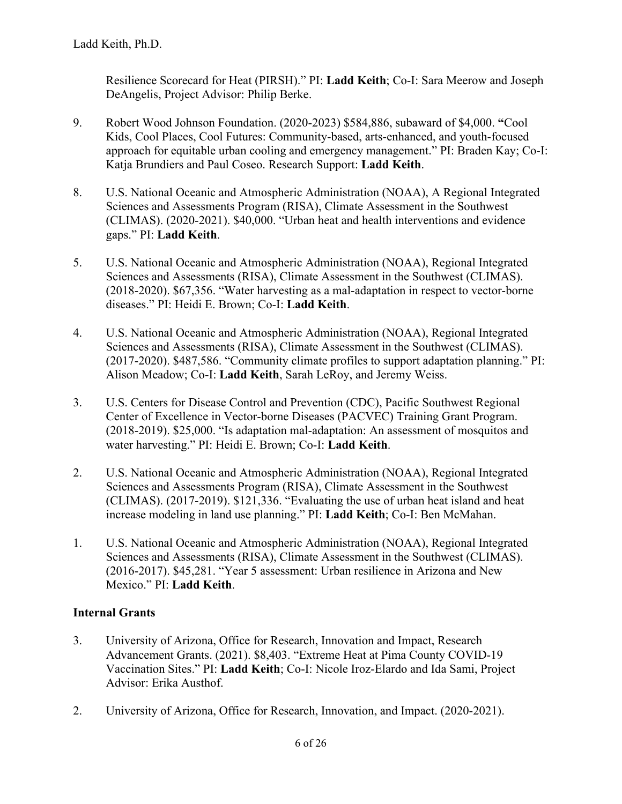Resilience Scorecard for Heat (PIRSH)." PI: **Ladd Keith**; Co-I: Sara Meerow and Joseph DeAngelis, Project Advisor: Philip Berke.

- 9. Robert Wood Johnson Foundation. (2020-2023) \$584,886, subaward of \$4,000. **"**Cool Kids, Cool Places, Cool Futures: Community-based, arts-enhanced, and youth-focused approach for equitable urban cooling and emergency management." PI: Braden Kay; Co-I: Katja Brundiers and Paul Coseo. Research Support: **Ladd Keith**.
- 8. U.S. National Oceanic and Atmospheric Administration (NOAA), A Regional Integrated Sciences and Assessments Program (RISA), Climate Assessment in the Southwest (CLIMAS). (2020-2021). \$40,000. "Urban heat and health interventions and evidence gaps." PI: **Ladd Keith**.
- 5. U.S. National Oceanic and Atmospheric Administration (NOAA), Regional Integrated Sciences and Assessments (RISA), Climate Assessment in the Southwest (CLIMAS). (2018-2020). \$67,356. "Water harvesting as a mal-adaptation in respect to vector-borne diseases." PI: Heidi E. Brown; Co-I: **Ladd Keith**.
- 4. U.S. National Oceanic and Atmospheric Administration (NOAA), Regional Integrated Sciences and Assessments (RISA), Climate Assessment in the Southwest (CLIMAS). (2017-2020). \$487,586. "Community climate profiles to support adaptation planning." PI: Alison Meadow; Co-I: **Ladd Keith**, Sarah LeRoy, and Jeremy Weiss.
- 3. U.S. Centers for Disease Control and Prevention (CDC), Pacific Southwest Regional Center of Excellence in Vector-borne Diseases (PACVEC) Training Grant Program. (2018-2019). \$25,000. "Is adaptation mal-adaptation: An assessment of mosquitos and water harvesting." PI: Heidi E. Brown; Co-I: **Ladd Keith**.
- 2. U.S. National Oceanic and Atmospheric Administration (NOAA), Regional Integrated Sciences and Assessments Program (RISA), Climate Assessment in the Southwest (CLIMAS). (2017-2019). \$121,336. "Evaluating the use of urban heat island and heat increase modeling in land use planning." PI: **Ladd Keith**; Co-I: Ben McMahan.
- 1. U.S. National Oceanic and Atmospheric Administration (NOAA), Regional Integrated Sciences and Assessments (RISA), Climate Assessment in the Southwest (CLIMAS). (2016-2017). \$45,281. "Year 5 assessment: Urban resilience in Arizona and New Mexico." PI: **Ladd Keith**.

# **Internal Grants**

- 3. University of Arizona, Office for Research, Innovation and Impact, Research Advancement Grants. (2021). \$8,403. "Extreme Heat at Pima County COVID-19 Vaccination Sites." PI: **Ladd Keith**; Co-I: Nicole Iroz-Elardo and Ida Sami, Project Advisor: Erika Austhof.
- 2. University of Arizona, Office for Research, Innovation, and Impact. (2020-2021).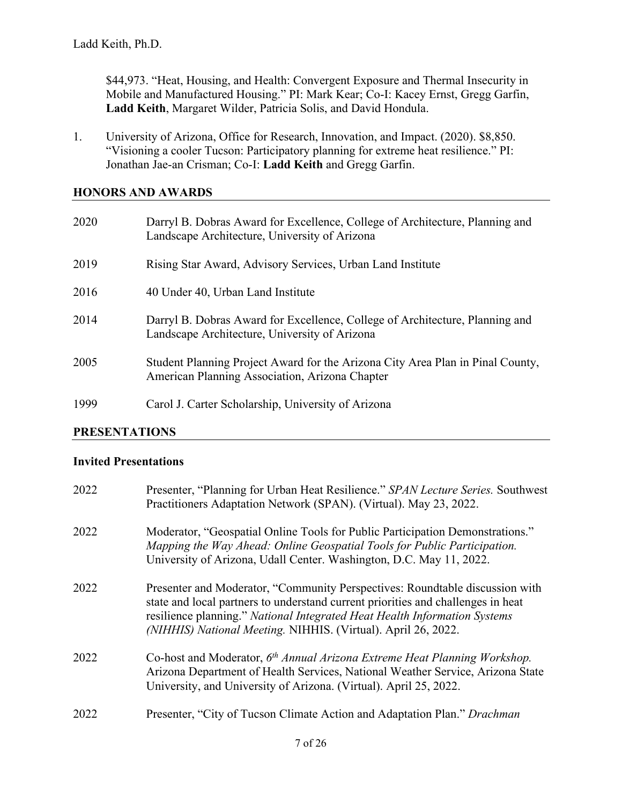\$44,973. "Heat, Housing, and Health: Convergent Exposure and Thermal Insecurity in Mobile and Manufactured Housing." PI: Mark Kear; Co-I: Kacey Ernst, Gregg Garfin, **Ladd Keith**, Margaret Wilder, Patricia Solis, and David Hondula.

1. University of Arizona, Office for Research, Innovation, and Impact. (2020). \$8,850. "Visioning a cooler Tucson: Participatory planning for extreme heat resilience." PI: Jonathan Jae-an Crisman; Co-I: **Ladd Keith** and Gregg Garfin.

### **HONORS AND AWARDS**

| 2020 | Darryl B. Dobras Award for Excellence, College of Architecture, Planning and<br>Landscape Architecture, University of Arizona    |
|------|----------------------------------------------------------------------------------------------------------------------------------|
| 2019 | Rising Star Award, Advisory Services, Urban Land Institute                                                                       |
| 2016 | 40 Under 40, Urban Land Institute                                                                                                |
| 2014 | Darryl B. Dobras Award for Excellence, College of Architecture, Planning and<br>Landscape Architecture, University of Arizona    |
| 2005 | Student Planning Project Award for the Arizona City Area Plan in Pinal County,<br>American Planning Association, Arizona Chapter |
| 1999 | Carol J. Carter Scholarship, University of Arizona                                                                               |

#### **PRESENTATIONS**

#### **Invited Presentations**

| 2022 | Presenter, "Planning for Urban Heat Resilience." SPAN Lecture Series. Southwest<br>Practitioners Adaptation Network (SPAN). (Virtual). May 23, 2022.                                                                                                                                                           |
|------|----------------------------------------------------------------------------------------------------------------------------------------------------------------------------------------------------------------------------------------------------------------------------------------------------------------|
| 2022 | Moderator, "Geospatial Online Tools for Public Participation Demonstrations."<br>Mapping the Way Ahead: Online Geospatial Tools for Public Participation.<br>University of Arizona, Udall Center. Washington, D.C. May 11, 2022.                                                                               |
| 2022 | Presenter and Moderator, "Community Perspectives: Roundtable discussion with<br>state and local partners to understand current priorities and challenges in heat<br>resilience planning." National Integrated Heat Health Information Systems<br>(NIHHIS) National Meeting. NIHHIS. (Virtual). April 26, 2022. |
| 2022 | Co-host and Moderator, 6 <sup>th</sup> Annual Arizona Extreme Heat Planning Workshop.<br>Arizona Department of Health Services, National Weather Service, Arizona State<br>University, and University of Arizona. (Virtual). April 25, 2022.                                                                   |
| 2022 | Presenter, "City of Tucson Climate Action and Adaptation Plan." Drachman                                                                                                                                                                                                                                       |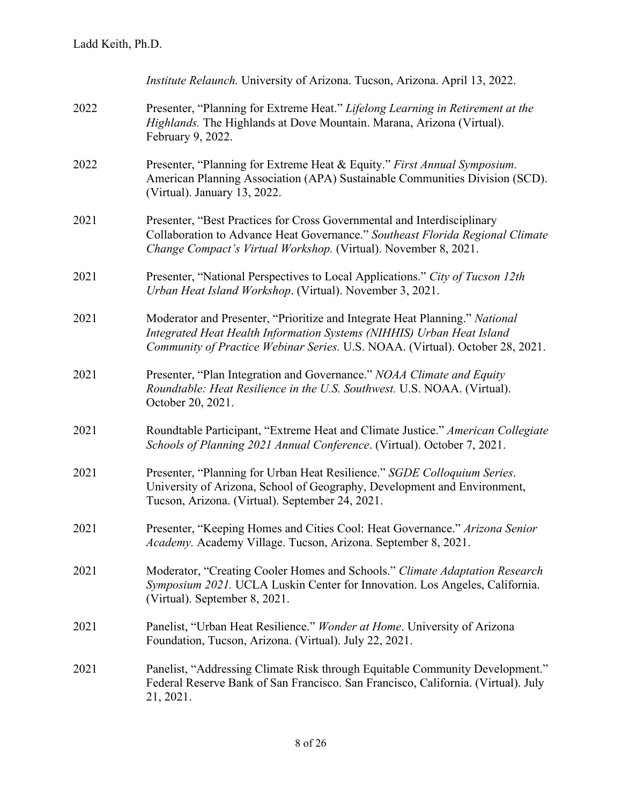|      | Institute Relaunch. University of Arizona. Tucson, Arizona. April 13, 2022.                                                                                                                                                           |
|------|---------------------------------------------------------------------------------------------------------------------------------------------------------------------------------------------------------------------------------------|
| 2022 | Presenter, "Planning for Extreme Heat." Lifelong Learning in Retirement at the<br>Highlands. The Highlands at Dove Mountain. Marana, Arizona (Virtual).<br>February 9, 2022.                                                          |
| 2022 | Presenter, "Planning for Extreme Heat & Equity." First Annual Symposium.<br>American Planning Association (APA) Sustainable Communities Division (SCD).<br>(Virtual). January 13, 2022.                                               |
| 2021 | Presenter, "Best Practices for Cross Governmental and Interdisciplinary<br>Collaboration to Advance Heat Governance." Southeast Florida Regional Climate<br>Change Compact's Virtual Workshop. (Virtual). November 8, 2021.           |
| 2021 | Presenter, "National Perspectives to Local Applications." City of Tucson 12th<br>Urban Heat Island Workshop. (Virtual). November 3, 2021.                                                                                             |
| 2021 | Moderator and Presenter, "Prioritize and Integrate Heat Planning." National<br>Integrated Heat Health Information Systems (NIHHIS) Urban Heat Island<br>Community of Practice Webinar Series. U.S. NOAA. (Virtual). October 28, 2021. |
| 2021 | Presenter, "Plan Integration and Governance." NOAA Climate and Equity<br>Roundtable: Heat Resilience in the U.S. Southwest. U.S. NOAA. (Virtual).<br>October 20, 2021.                                                                |
| 2021 | Roundtable Participant, "Extreme Heat and Climate Justice." American Collegiate<br>Schools of Planning 2021 Annual Conference. (Virtual). October 7, 2021.                                                                            |
| 2021 | Presenter, "Planning for Urban Heat Resilience." SGDE Colloquium Series.<br>University of Arizona, School of Geography, Development and Environment,<br>Tucson, Arizona. (Virtual). September 24, 2021.                               |
| 2021 | Presenter, "Keeping Homes and Cities Cool: Heat Governance." Arizona Senior<br>Academy. Academy Village. Tucson, Arizona. September 8, 2021.                                                                                          |
| 2021 | Moderator, "Creating Cooler Homes and Schools." Climate Adaptation Research<br>Symposium 2021. UCLA Luskin Center for Innovation. Los Angeles, California.<br>(Virtual). September 8, 2021.                                           |
| 2021 | Panelist, "Urban Heat Resilience." Wonder at Home. University of Arizona<br>Foundation, Tucson, Arizona. (Virtual). July 22, 2021.                                                                                                    |
| 2021 | Panelist, "Addressing Climate Risk through Equitable Community Development."<br>Federal Reserve Bank of San Francisco. San Francisco, California. (Virtual). July<br>21, 2021.                                                        |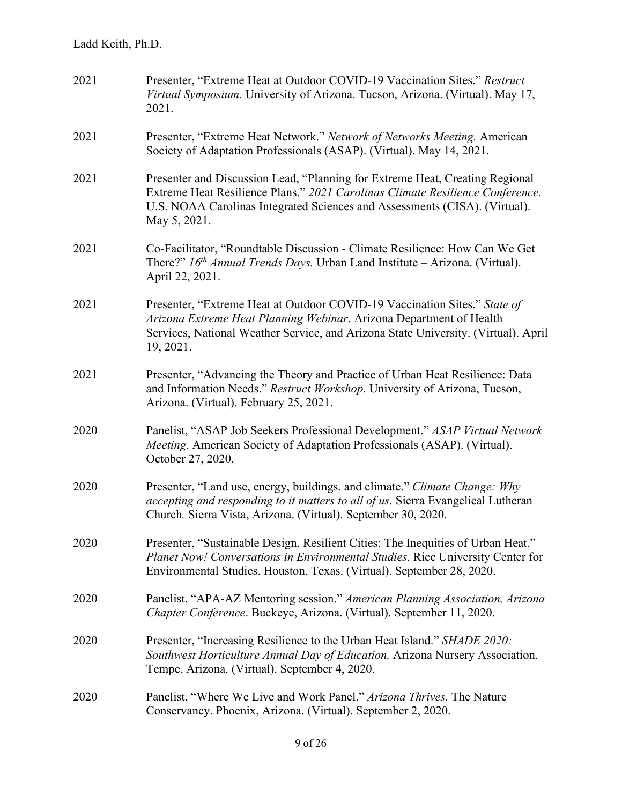| 2021 | Presenter, "Extreme Heat at Outdoor COVID-19 Vaccination Sites." Restruct<br>Virtual Symposium. University of Arizona. Tucson, Arizona. (Virtual). May 17,<br>2021.                                                                                         |
|------|-------------------------------------------------------------------------------------------------------------------------------------------------------------------------------------------------------------------------------------------------------------|
| 2021 | Presenter, "Extreme Heat Network." Network of Networks Meeting. American<br>Society of Adaptation Professionals (ASAP). (Virtual). May 14, 2021.                                                                                                            |
| 2021 | Presenter and Discussion Lead, "Planning for Extreme Heat, Creating Regional<br>Extreme Heat Resilience Plans." 2021 Carolinas Climate Resilience Conference.<br>U.S. NOAA Carolinas Integrated Sciences and Assessments (CISA). (Virtual).<br>May 5, 2021. |
| 2021 | Co-Facilitator, "Roundtable Discussion - Climate Resilience: How Can We Get<br>There?" $16th$ Annual Trends Days. Urban Land Institute – Arizona. (Virtual).<br>April 22, 2021.                                                                             |
| 2021 | Presenter, "Extreme Heat at Outdoor COVID-19 Vaccination Sites." State of<br>Arizona Extreme Heat Planning Webinar. Arizona Department of Health<br>Services, National Weather Service, and Arizona State University. (Virtual). April<br>19, 2021.         |
| 2021 | Presenter, "Advancing the Theory and Practice of Urban Heat Resilience: Data<br>and Information Needs." Restruct Workshop. University of Arizona, Tucson,<br>Arizona. (Virtual). February 25, 2021.                                                         |
| 2020 | Panelist, "ASAP Job Seekers Professional Development." ASAP Virtual Network<br>Meeting. American Society of Adaptation Professionals (ASAP). (Virtual).<br>October 27, 2020.                                                                                |
| 2020 | Presenter, "Land use, energy, buildings, and climate." Climate Change: Why<br><i>accepting and responding to it matters to all of us. Sierra Evangelical Lutheran</i><br>Church. Sierra Vista, Arizona. (Virtual). September 30, 2020.                      |
| 2020 | Presenter, "Sustainable Design, Resilient Cities: The Inequities of Urban Heat."<br>Planet Now! Conversations in Environmental Studies. Rice University Center for<br>Environmental Studies. Houston, Texas. (Virtual). September 28, 2020.                 |
| 2020 | Panelist, "APA-AZ Mentoring session." American Planning Association, Arizona<br>Chapter Conference. Buckeye, Arizona. (Virtual). September 11, 2020.                                                                                                        |
| 2020 | Presenter, "Increasing Resilience to the Urban Heat Island." SHADE 2020:<br>Southwest Horticulture Annual Day of Education. Arizona Nursery Association.<br>Tempe, Arizona. (Virtual). September 4, 2020.                                                   |
| 2020 | Panelist, "Where We Live and Work Panel." Arizona Thrives. The Nature<br>Conservancy. Phoenix, Arizona. (Virtual). September 2, 2020.                                                                                                                       |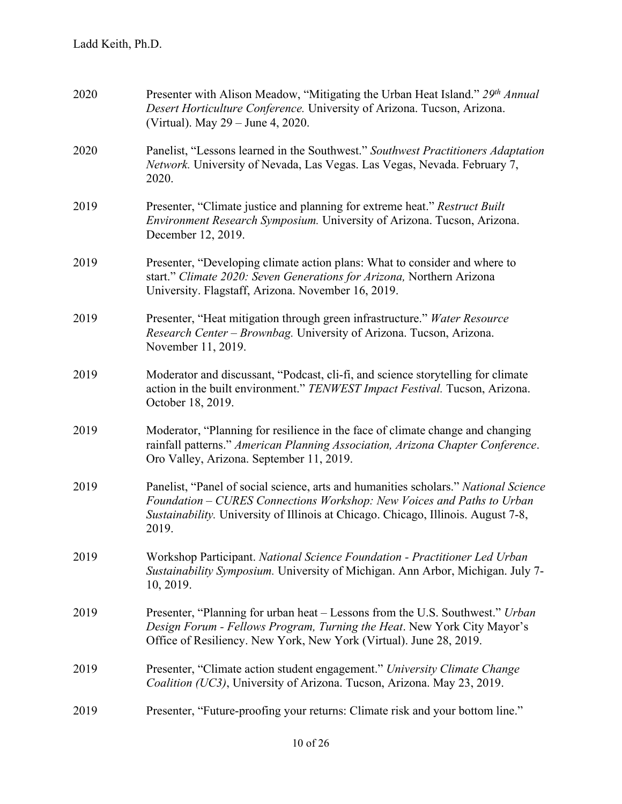| 2020 | Presenter with Alison Meadow, "Mitigating the Urban Heat Island." 29 <sup>th</sup> Annual<br>Desert Horticulture Conference. University of Arizona. Tucson, Arizona.<br>(Virtual). May 29 – June 4, 2020.                                                   |
|------|-------------------------------------------------------------------------------------------------------------------------------------------------------------------------------------------------------------------------------------------------------------|
| 2020 | Panelist, "Lessons learned in the Southwest." Southwest Practitioners Adaptation<br>Network. University of Nevada, Las Vegas. Las Vegas, Nevada. February 7,<br>2020.                                                                                       |
| 2019 | Presenter, "Climate justice and planning for extreme heat." Restruct Built<br>Environment Research Symposium. University of Arizona. Tucson, Arizona.<br>December 12, 2019.                                                                                 |
| 2019 | Presenter, "Developing climate action plans: What to consider and where to<br>start." Climate 2020: Seven Generations for Arizona, Northern Arizona<br>University. Flagstaff, Arizona. November 16, 2019.                                                   |
| 2019 | Presenter, "Heat mitigation through green infrastructure." Water Resource<br>Research Center – Brownbag. University of Arizona. Tucson, Arizona.<br>November 11, 2019.                                                                                      |
| 2019 | Moderator and discussant, "Podcast, cli-fi, and science storytelling for climate<br>action in the built environment." TENWEST Impact Festival. Tucson, Arizona.<br>October 18, 2019.                                                                        |
| 2019 | Moderator, "Planning for resilience in the face of climate change and changing<br>rainfall patterns." American Planning Association, Arizona Chapter Conference.<br>Oro Valley, Arizona. September 11, 2019.                                                |
| 2019 | Panelist, "Panel of social science, arts and humanities scholars." National Science<br>Foundation - CURES Connections Workshop: New Voices and Paths to Urban<br>Sustainability. University of Illinois at Chicago. Chicago, Illinois. August 7-8,<br>2019. |
| 2019 | Workshop Participant. National Science Foundation - Practitioner Led Urban<br>Sustainability Symposium. University of Michigan. Ann Arbor, Michigan. July 7-<br>10, 2019.                                                                                   |
| 2019 | Presenter, "Planning for urban heat – Lessons from the U.S. Southwest." Urban<br>Design Forum - Fellows Program, Turning the Heat. New York City Mayor's<br>Office of Resiliency. New York, New York (Virtual). June 28, 2019.                              |
| 2019 | Presenter, "Climate action student engagement." University Climate Change<br>Coalition (UC3), University of Arizona. Tucson, Arizona. May 23, 2019.                                                                                                         |
| 2019 | Presenter, "Future-proofing your returns: Climate risk and your bottom line."                                                                                                                                                                               |
|      |                                                                                                                                                                                                                                                             |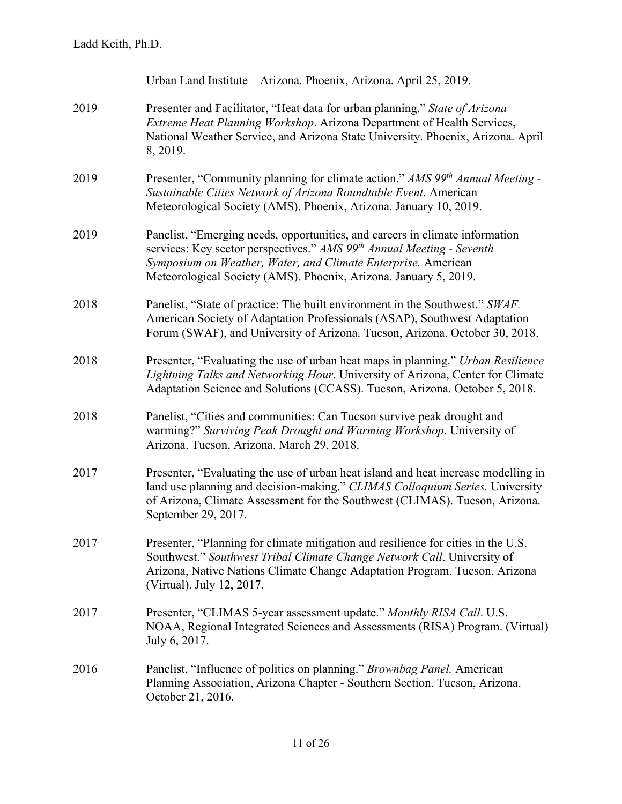|      | Urban Land Institute - Arizona. Phoenix, Arizona. April 25, 2019.                                                                                                                                                                                                                                      |
|------|--------------------------------------------------------------------------------------------------------------------------------------------------------------------------------------------------------------------------------------------------------------------------------------------------------|
| 2019 | Presenter and Facilitator, "Heat data for urban planning." State of Arizona<br>Extreme Heat Planning Workshop. Arizona Department of Health Services,<br>National Weather Service, and Arizona State University. Phoenix, Arizona. April<br>8, 2019.                                                   |
| 2019 | Presenter, "Community planning for climate action." AMS 99 <sup>th</sup> Annual Meeting -<br>Sustainable Cities Network of Arizona Roundtable Event. American<br>Meteorological Society (AMS). Phoenix, Arizona. January 10, 2019.                                                                     |
| 2019 | Panelist, "Emerging needs, opportunities, and careers in climate information<br>services: Key sector perspectives." AMS 99 <sup>th</sup> Annual Meeting - Seventh<br>Symposium on Weather, Water, and Climate Enterprise. American<br>Meteorological Society (AMS). Phoenix, Arizona. January 5, 2019. |
| 2018 | Panelist, "State of practice: The built environment in the Southwest." SWAF.<br>American Society of Adaptation Professionals (ASAP), Southwest Adaptation<br>Forum (SWAF), and University of Arizona. Tucson, Arizona. October 30, 2018.                                                               |
| 2018 | Presenter, "Evaluating the use of urban heat maps in planning." Urban Resilience<br>Lightning Talks and Networking Hour. University of Arizona, Center for Climate<br>Adaptation Science and Solutions (CCASS). Tucson, Arizona. October 5, 2018.                                                      |
| 2018 | Panelist, "Cities and communities: Can Tucson survive peak drought and<br>warming?" Surviving Peak Drought and Warming Workshop. University of<br>Arizona. Tucson, Arizona. March 29, 2018.                                                                                                            |
| 2017 | Presenter, "Evaluating the use of urban heat island and heat increase modelling in<br>land use planning and decision-making." CLIMAS Colloquium Series. University<br>of Arizona, Climate Assessment for the Southwest (CLIMAS). Tucson, Arizona.<br>September 29, 2017.                               |
| 2017 | Presenter, "Planning for climate mitigation and resilience for cities in the U.S.<br>Southwest." Southwest Tribal Climate Change Network Call. University of<br>Arizona, Native Nations Climate Change Adaptation Program. Tucson, Arizona<br>(Virtual). July 12, 2017.                                |
| 2017 | Presenter, "CLIMAS 5-year assessment update." Monthly RISA Call. U.S.<br>NOAA, Regional Integrated Sciences and Assessments (RISA) Program. (Virtual)<br>July 6, 2017.                                                                                                                                 |
| 2016 | Panelist, "Influence of politics on planning." Brownbag Panel. American<br>Planning Association, Arizona Chapter - Southern Section. Tucson, Arizona.<br>October 21, 2016.                                                                                                                             |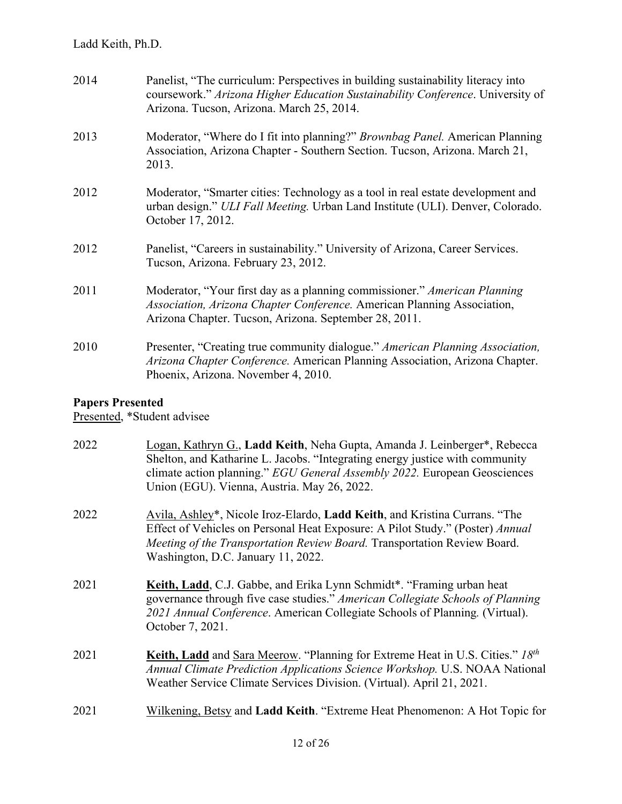| 2014 | Panelist, "The curriculum: Perspectives in building sustainability literacy into<br>coursework." Arizona Higher Education Sustainability Conference. University of<br>Arizona. Tucson, Arizona. March 25, 2014. |
|------|-----------------------------------------------------------------------------------------------------------------------------------------------------------------------------------------------------------------|
| 2013 | Moderator, "Where do I fit into planning?" Brownbag Panel. American Planning<br>Association, Arizona Chapter - Southern Section. Tucson, Arizona. March 21,<br>2013.                                            |
| 2012 | Moderator, "Smarter cities: Technology as a tool in real estate development and<br>urban design." ULI Fall Meeting. Urban Land Institute (ULI). Denver, Colorado.<br>October 17, 2012.                          |
| 2012 | Panelist, "Careers in sustainability." University of Arizona, Career Services.<br>Tucson, Arizona. February 23, 2012.                                                                                           |
| 2011 | Moderator, "Your first day as a planning commissioner." American Planning<br>Association, Arizona Chapter Conference. American Planning Association,<br>Arizona Chapter. Tucson, Arizona. September 28, 2011.   |
| 2010 | Presenter, "Creating true community dialogue." American Planning Association,<br>Arizona Chapter Conference. American Planning Association, Arizona Chapter.<br>Phoenix, Arizona. November 4, 2010.             |

# **Papers Presented**

Presented, \*Student advisee

| 2022 | Logan, Kathryn G., Ladd Keith, Neha Gupta, Amanda J. Leinberger*, Rebecca<br>Shelton, and Katharine L. Jacobs. "Integrating energy justice with community<br>climate action planning." EGU General Assembly 2022. European Geosciences<br>Union (EGU). Vienna, Austria. May 26, 2022. |
|------|---------------------------------------------------------------------------------------------------------------------------------------------------------------------------------------------------------------------------------------------------------------------------------------|
| 2022 | Avila, Ashley*, Nicole Iroz-Elardo, Ladd Keith, and Kristina Currans. "The<br>Effect of Vehicles on Personal Heat Exposure: A Pilot Study." (Poster) Annual<br>Meeting of the Transportation Review Board. Transportation Review Board.<br>Washington, D.C. January 11, 2022.         |
| 2021 | Keith, Ladd, C.J. Gabbe, and Erika Lynn Schmidt*. "Framing urban heat<br>governance through five case studies." American Collegiate Schools of Planning<br>2021 Annual Conference. American Collegiate Schools of Planning. (Virtual).<br>October 7, 2021.                            |
| 2021 | <b>Keith, Ladd</b> and Sara Meerow. "Planning for Extreme Heat in U.S. Cities." 18th<br>Annual Climate Prediction Applications Science Workshop. U.S. NOAA National<br>Weather Service Climate Services Division. (Virtual). April 21, 2021.                                          |
| 2021 | Wilkening, Betsy and Ladd Keith. "Extreme Heat Phenomenon: A Hot Topic for                                                                                                                                                                                                            |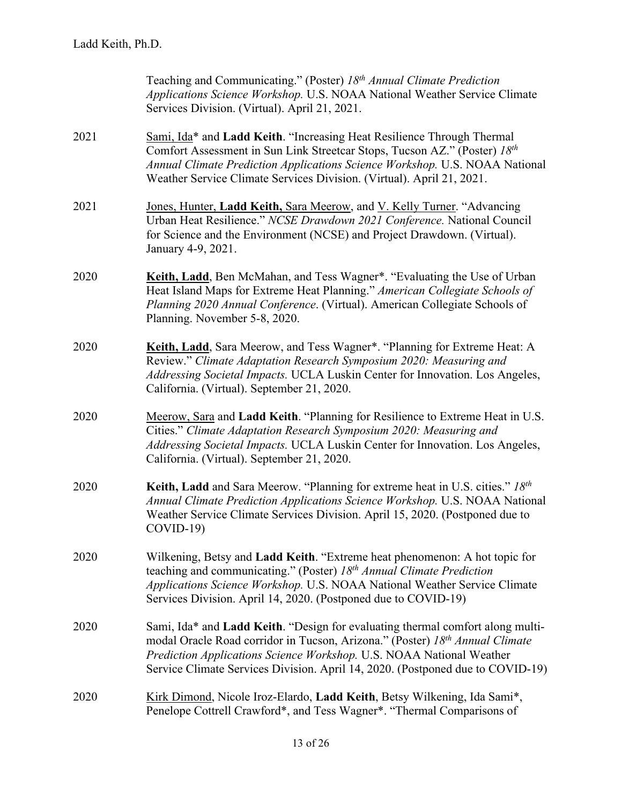|      | Teaching and Communicating." (Poster) 18 <sup>th</sup> Annual Climate Prediction<br>Applications Science Workshop. U.S. NOAA National Weather Service Climate<br>Services Division. (Virtual). April 21, 2021.                                                                                                           |
|------|--------------------------------------------------------------------------------------------------------------------------------------------------------------------------------------------------------------------------------------------------------------------------------------------------------------------------|
| 2021 | Sami, Ida* and Ladd Keith. "Increasing Heat Resilience Through Thermal<br>Comfort Assessment in Sun Link Streetcar Stops, Tucson AZ." (Poster) 18th<br>Annual Climate Prediction Applications Science Workshop. U.S. NOAA National<br>Weather Service Climate Services Division. (Virtual). April 21, 2021.              |
| 2021 | Jones, Hunter, Ladd Keith, Sara Meerow, and V. Kelly Turner. "Advancing<br>Urban Heat Resilience." NCSE Drawdown 2021 Conference. National Council<br>for Science and the Environment (NCSE) and Project Drawdown. (Virtual).<br>January 4-9, 2021.                                                                      |
| 2020 | Keith, Ladd, Ben McMahan, and Tess Wagner*. "Evaluating the Use of Urban<br>Heat Island Maps for Extreme Heat Planning." American Collegiate Schools of<br>Planning 2020 Annual Conference. (Virtual). American Collegiate Schools of<br>Planning. November 5-8, 2020.                                                   |
| 2020 | Keith, Ladd, Sara Meerow, and Tess Wagner*. "Planning for Extreme Heat: A<br>Review." Climate Adaptation Research Symposium 2020: Measuring and<br>Addressing Societal Impacts. UCLA Luskin Center for Innovation. Los Angeles,<br>California. (Virtual). September 21, 2020.                                            |
| 2020 | Meerow, Sara and Ladd Keith. "Planning for Resilience to Extreme Heat in U.S.<br>Cities." Climate Adaptation Research Symposium 2020: Measuring and<br>Addressing Societal Impacts. UCLA Luskin Center for Innovation. Los Angeles,<br>California. (Virtual). September 21, 2020.                                        |
| 2020 | Keith, Ladd and Sara Meerow. "Planning for extreme heat in U.S. cities." 18th<br>Annual Climate Prediction Applications Science Workshop. U.S. NOAA National<br>Weather Service Climate Services Division. April 15, 2020. (Postponed due to<br>$COVID-19$ )                                                             |
| 2020 | Wilkening, Betsy and Ladd Keith. "Extreme heat phenomenon: A hot topic for<br>teaching and communicating." (Poster) 18th Annual Climate Prediction<br>Applications Science Workshop. U.S. NOAA National Weather Service Climate<br>Services Division. April 14, 2020. (Postponed due to COVID-19)                        |
| 2020 | Sami, Ida* and Ladd Keith. "Design for evaluating thermal comfort along multi-<br>modal Oracle Road corridor in Tucson, Arizona." (Poster) 18th Annual Climate<br>Prediction Applications Science Workshop. U.S. NOAA National Weather<br>Service Climate Services Division. April 14, 2020. (Postponed due to COVID-19) |
| 2020 | Kirk Dimond, Nicole Iroz-Elardo, Ladd Keith, Betsy Wilkening, Ida Sami*,<br>Penelope Cottrell Crawford*, and Tess Wagner*. "Thermal Comparisons of                                                                                                                                                                       |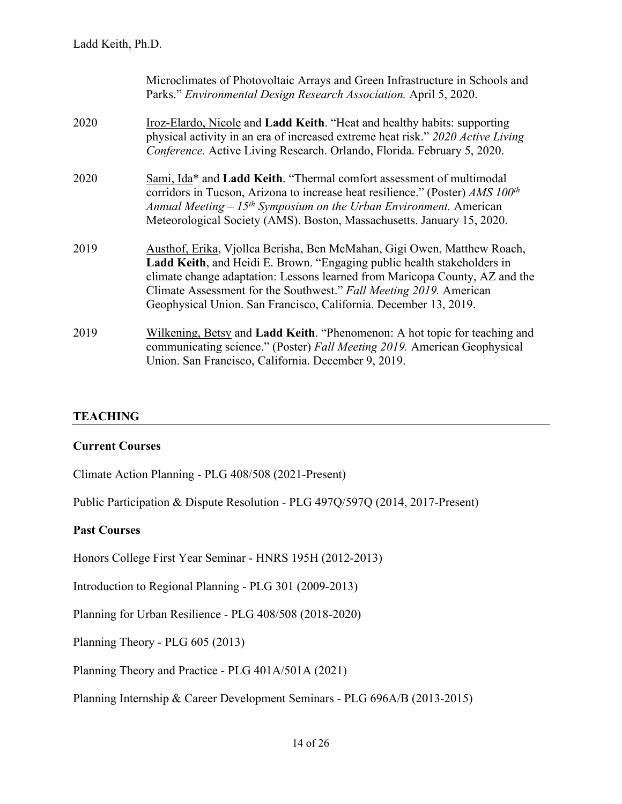|      | Microclimates of Photovoltaic Arrays and Green Infrastructure in Schools and<br>Parks." Environmental Design Research Association. April 5, 2020.                                                                                                                                                                                                                           |
|------|-----------------------------------------------------------------------------------------------------------------------------------------------------------------------------------------------------------------------------------------------------------------------------------------------------------------------------------------------------------------------------|
| 2020 | Iroz-Elardo, Nicole and Ladd Keith. "Heat and healthy habits: supporting<br>physical activity in an era of increased extreme heat risk." 2020 Active Living<br>Conference. Active Living Research. Orlando, Florida. February 5, 2020.                                                                                                                                      |
| 2020 | Sami, Ida* and Ladd Keith. "Thermal comfort assessment of multimodal<br>corridors in Tucson, Arizona to increase heat resilience." (Poster) $AMS 100th$<br>Annual Meeting $-15th$ Symposium on the Urban Environment. American<br>Meteorological Society (AMS). Boston, Massachusetts. January 15, 2020.                                                                    |
| 2019 | Austhof, Erika, Vjollca Berisha, Ben McMahan, Gigi Owen, Matthew Roach,<br>Ladd Keith, and Heidi E. Brown. "Engaging public health stakeholders in<br>climate change adaptation: Lessons learned from Maricopa County, AZ and the<br>Climate Assessment for the Southwest." Fall Meeting 2019. American<br>Geophysical Union. San Francisco, California. December 13, 2019. |
| 2019 | Wilkening, Betsy and Ladd Keith. "Phenomenon: A hot topic for teaching and<br>communicating science." (Poster) Fall Meeting 2019. American Geophysical<br>Union. San Francisco, California. December 9, 2019.                                                                                                                                                               |

#### **TEACHING**

#### **Current Courses**

Climate Action Planning - PLG 408/508 (2021-Present)

Public Participation & Dispute Resolution - PLG 497Q/597Q (2014, 2017-Present)

#### **Past Courses**

Honors College First Year Seminar - HNRS 195H (2012-2013)

Introduction to Regional Planning - PLG 301 (2009-2013)

Planning for Urban Resilience - PLG 408/508 (2018-2020)

Planning Theory - PLG 605 (2013)

Planning Theory and Practice - PLG 401A/501A (2021)

Planning Internship & Career Development Seminars - PLG 696A/B (2013-2015)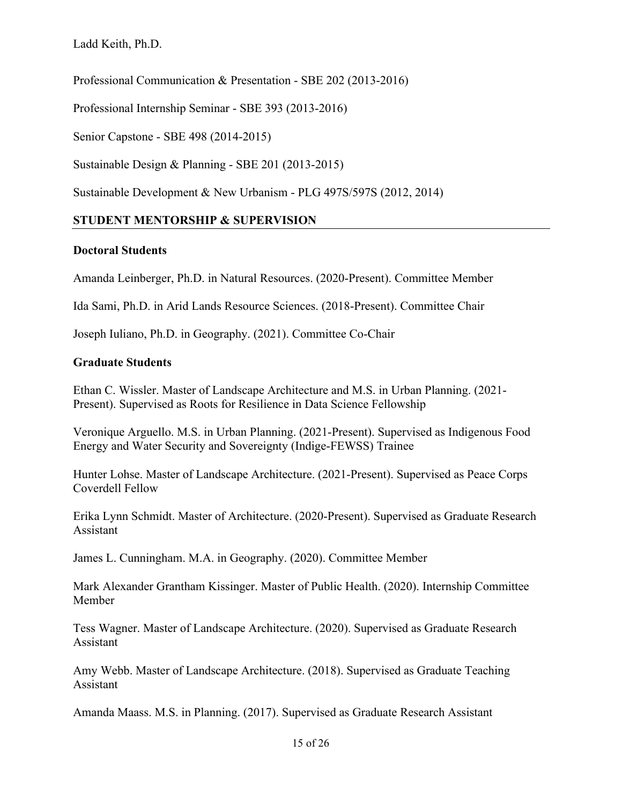Professional Communication & Presentation - SBE 202 (2013-2016)

Professional Internship Seminar - SBE 393 (2013-2016)

Senior Capstone - SBE 498 (2014-2015)

Sustainable Design & Planning - SBE 201 (2013-2015)

Sustainable Development & New Urbanism - PLG 497S/597S (2012, 2014)

# **STUDENT MENTORSHIP & SUPERVISION**

# **Doctoral Students**

Amanda Leinberger, Ph.D. in Natural Resources. (2020-Present). Committee Member

Ida Sami, Ph.D. in Arid Lands Resource Sciences. (2018-Present). Committee Chair

Joseph Iuliano, Ph.D. in Geography. (2021). Committee Co-Chair

### **Graduate Students**

Ethan C. Wissler. Master of Landscape Architecture and M.S. in Urban Planning. (2021- Present). Supervised as Roots for Resilience in Data Science Fellowship

Veronique Arguello. M.S. in Urban Planning. (2021-Present). Supervised as Indigenous Food Energy and Water Security and Sovereignty (Indige-FEWSS) Trainee

Hunter Lohse. Master of Landscape Architecture. (2021-Present). Supervised as Peace Corps Coverdell Fellow

Erika Lynn Schmidt. Master of Architecture. (2020-Present). Supervised as Graduate Research Assistant

James L. Cunningham. M.A. in Geography. (2020). Committee Member

Mark Alexander Grantham Kissinger. Master of Public Health. (2020). Internship Committee Member

Tess Wagner. Master of Landscape Architecture. (2020). Supervised as Graduate Research Assistant

Amy Webb. Master of Landscape Architecture. (2018). Supervised as Graduate Teaching Assistant

Amanda Maass. M.S. in Planning. (2017). Supervised as Graduate Research Assistant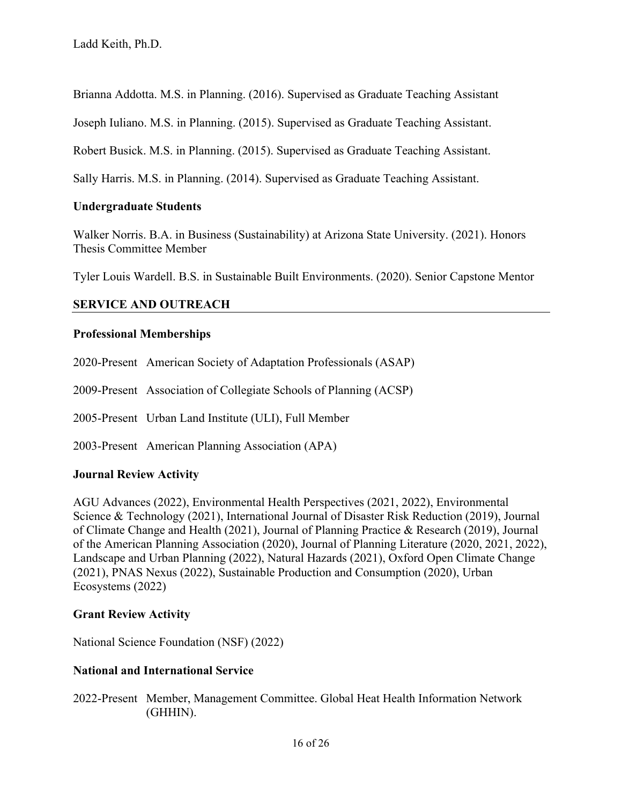Brianna Addotta. M.S. in Planning. (2016). Supervised as Graduate Teaching Assistant

Joseph Iuliano. M.S. in Planning. (2015). Supervised as Graduate Teaching Assistant.

Robert Busick. M.S. in Planning. (2015). Supervised as Graduate Teaching Assistant.

Sally Harris. M.S. in Planning. (2014). Supervised as Graduate Teaching Assistant.

# **Undergraduate Students**

Walker Norris. B.A. in Business (Sustainability) at Arizona State University. (2021). Honors Thesis Committee Member

Tyler Louis Wardell. B.S. in Sustainable Built Environments. (2020). Senior Capstone Mentor

# **SERVICE AND OUTREACH**

# **Professional Memberships**

2020-Present American Society of Adaptation Professionals (ASAP)

2009-Present Association of Collegiate Schools of Planning (ACSP)

2005-Present Urban Land Institute (ULI), Full Member

2003-Present American Planning Association (APA)

# **Journal Review Activity**

AGU Advances (2022), Environmental Health Perspectives (2021, 2022), Environmental Science & Technology (2021), International Journal of Disaster Risk Reduction (2019), Journal of Climate Change and Health (2021), Journal of Planning Practice & Research (2019), Journal of the American Planning Association (2020), Journal of Planning Literature (2020, 2021, 2022), Landscape and Urban Planning (2022), Natural Hazards (2021), Oxford Open Climate Change (2021), PNAS Nexus (2022), Sustainable Production and Consumption (2020), Urban Ecosystems (2022)

# **Grant Review Activity**

National Science Foundation (NSF) (2022)

# **National and International Service**

2022-Present Member, Management Committee. Global Heat Health Information Network (GHHIN).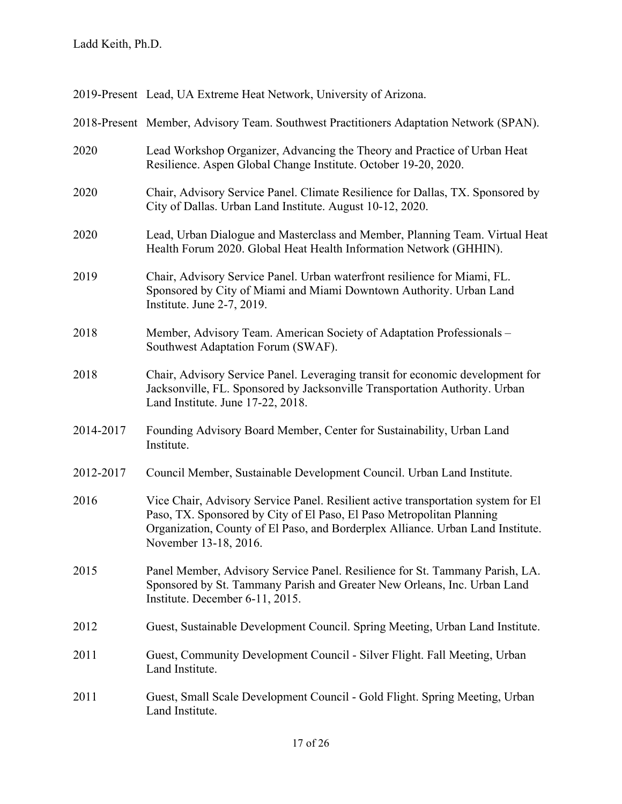| 2019-Present Lead, UA Extreme Heat Network, University of Arizona. |
|--------------------------------------------------------------------|
|--------------------------------------------------------------------|

2018-Present Member, Advisory Team. Southwest Practitioners Adaptation Network (SPAN). 2020 Lead Workshop Organizer, Advancing the Theory and Practice of Urban Heat Resilience. Aspen Global Change Institute. October 19-20, 2020. 2020 Chair, Advisory Service Panel. Climate Resilience for Dallas, TX. Sponsored by City of Dallas. Urban Land Institute. August 10-12, 2020. 2020 Lead, Urban Dialogue and Masterclass and Member, Planning Team. Virtual Heat Health Forum 2020. Global Heat Health Information Network (GHHIN). 2019 Chair, Advisory Service Panel. Urban waterfront resilience for Miami, FL. Sponsored by City of Miami and Miami Downtown Authority. Urban Land Institute. June 2-7, 2019. 2018 Member, Advisory Team. American Society of Adaptation Professionals – Southwest Adaptation Forum (SWAF). 2018 Chair, Advisory Service Panel. Leveraging transit for economic development for Jacksonville, FL. Sponsored by Jacksonville Transportation Authority. Urban Land Institute. June 17-22, 2018. 2014-2017 Founding Advisory Board Member, Center for Sustainability, Urban Land Institute. 2012-2017 Council Member, Sustainable Development Council. Urban Land Institute. 2016 Vice Chair, Advisory Service Panel. Resilient active transportation system for El Paso, TX. Sponsored by City of El Paso, El Paso Metropolitan Planning Organization, County of El Paso, and Borderplex Alliance. Urban Land Institute. November 13-18, 2016. 2015 Panel Member, Advisory Service Panel. Resilience for St. Tammany Parish, LA. Sponsored by St. Tammany Parish and Greater New Orleans, Inc. Urban Land Institute. December 6-11, 2015. 2012 Guest, Sustainable Development Council. Spring Meeting, Urban Land Institute. 2011 Guest, Community Development Council - Silver Flight. Fall Meeting, Urban Land Institute. 2011 Guest, Small Scale Development Council - Gold Flight. Spring Meeting, Urban Land Institute.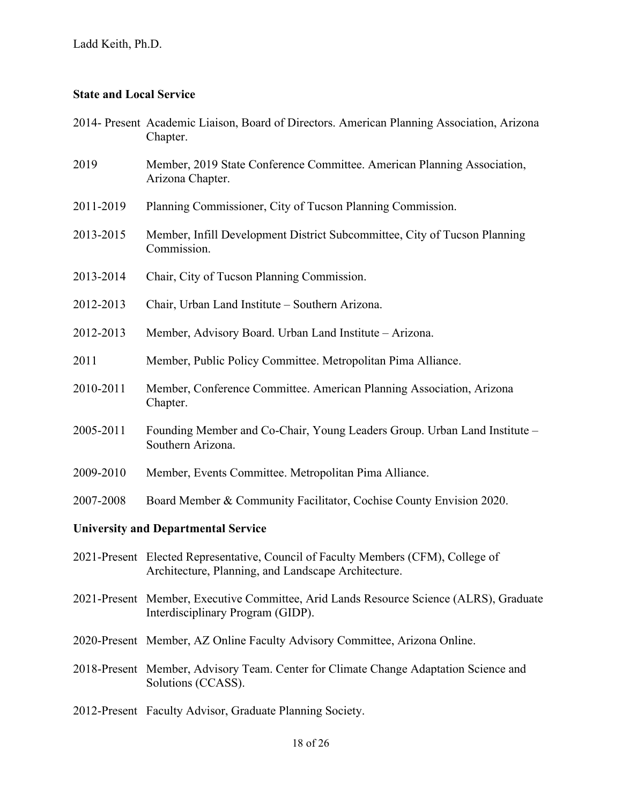# **State and Local Service**

|                                            | 2014- Present Academic Liaison, Board of Directors. American Planning Association, Arizona<br>Chapter.                                   |  |
|--------------------------------------------|------------------------------------------------------------------------------------------------------------------------------------------|--|
| 2019                                       | Member, 2019 State Conference Committee. American Planning Association,<br>Arizona Chapter.                                              |  |
| 2011-2019                                  | Planning Commissioner, City of Tucson Planning Commission.                                                                               |  |
| 2013-2015                                  | Member, Infill Development District Subcommittee, City of Tucson Planning<br>Commission.                                                 |  |
| 2013-2014                                  | Chair, City of Tucson Planning Commission.                                                                                               |  |
| 2012-2013                                  | Chair, Urban Land Institute - Southern Arizona.                                                                                          |  |
| 2012-2013                                  | Member, Advisory Board. Urban Land Institute – Arizona.                                                                                  |  |
| 2011                                       | Member, Public Policy Committee. Metropolitan Pima Alliance.                                                                             |  |
| 2010-2011                                  | Member, Conference Committee. American Planning Association, Arizona<br>Chapter.                                                         |  |
| 2005-2011                                  | Founding Member and Co-Chair, Young Leaders Group. Urban Land Institute -<br>Southern Arizona.                                           |  |
| 2009-2010                                  | Member, Events Committee. Metropolitan Pima Alliance.                                                                                    |  |
| 2007-2008                                  | Board Member & Community Facilitator, Cochise County Envision 2020.                                                                      |  |
| <b>University and Departmental Service</b> |                                                                                                                                          |  |
|                                            | 2021-Present Elected Representative, Council of Faculty Members (CFM), College of<br>Architecture, Planning, and Landscape Architecture. |  |
|                                            | 2021-Present Member, Executive Committee, Arid Lands Resource Science (ALRS), Graduate<br>Interdisciplinary Program (GIDP).              |  |
|                                            | 2020-Present Member, AZ Online Faculty Advisory Committee, Arizona Online.                                                               |  |
|                                            | 2018-Present Member, Advisory Team. Center for Climate Change Adaptation Science and<br>Solutions (CCASS).                               |  |
|                                            | 2012-Present Faculty Advisor, Graduate Planning Society.                                                                                 |  |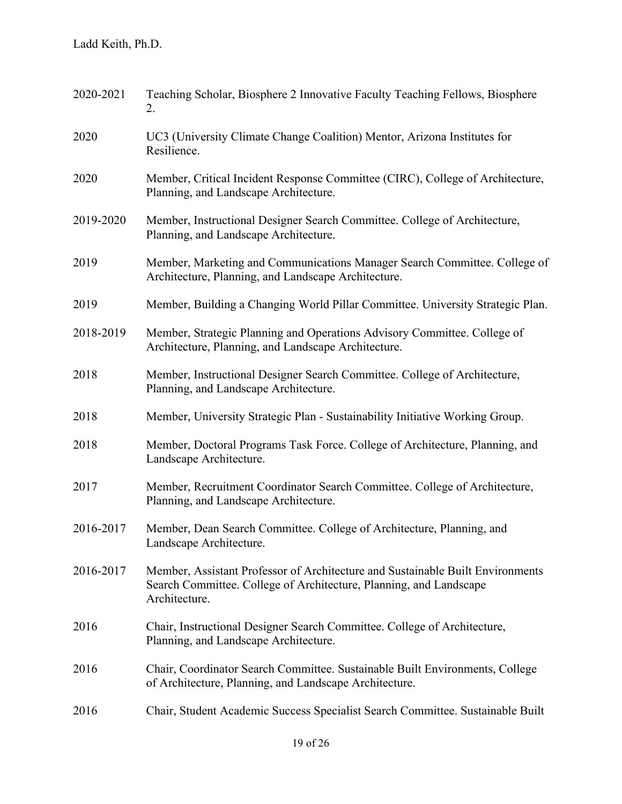| 2020-2021 | Teaching Scholar, Biosphere 2 Innovative Faculty Teaching Fellows, Biosphere<br>2.                                                                                    |
|-----------|-----------------------------------------------------------------------------------------------------------------------------------------------------------------------|
| 2020      | UC3 (University Climate Change Coalition) Mentor, Arizona Institutes for<br>Resilience.                                                                               |
| 2020      | Member, Critical Incident Response Committee (CIRC), College of Architecture,<br>Planning, and Landscape Architecture.                                                |
| 2019-2020 | Member, Instructional Designer Search Committee. College of Architecture,<br>Planning, and Landscape Architecture.                                                    |
| 2019      | Member, Marketing and Communications Manager Search Committee. College of<br>Architecture, Planning, and Landscape Architecture.                                      |
| 2019      | Member, Building a Changing World Pillar Committee. University Strategic Plan.                                                                                        |
| 2018-2019 | Member, Strategic Planning and Operations Advisory Committee. College of<br>Architecture, Planning, and Landscape Architecture.                                       |
| 2018      | Member, Instructional Designer Search Committee. College of Architecture,<br>Planning, and Landscape Architecture.                                                    |
| 2018      | Member, University Strategic Plan - Sustainability Initiative Working Group.                                                                                          |
| 2018      | Member, Doctoral Programs Task Force. College of Architecture, Planning, and<br>Landscape Architecture.                                                               |
| 2017      | Member, Recruitment Coordinator Search Committee. College of Architecture,<br>Planning, and Landscape Architecture.                                                   |
| 2016-2017 | Member, Dean Search Committee. College of Architecture, Planning, and<br>Landscape Architecture.                                                                      |
| 2016-2017 | Member, Assistant Professor of Architecture and Sustainable Built Environments<br>Search Committee. College of Architecture, Planning, and Landscape<br>Architecture. |
| 2016      | Chair, Instructional Designer Search Committee. College of Architecture,<br>Planning, and Landscape Architecture.                                                     |
| 2016      | Chair, Coordinator Search Committee. Sustainable Built Environments, College<br>of Architecture, Planning, and Landscape Architecture.                                |
| 2016      | Chair, Student Academic Success Specialist Search Committee. Sustainable Built                                                                                        |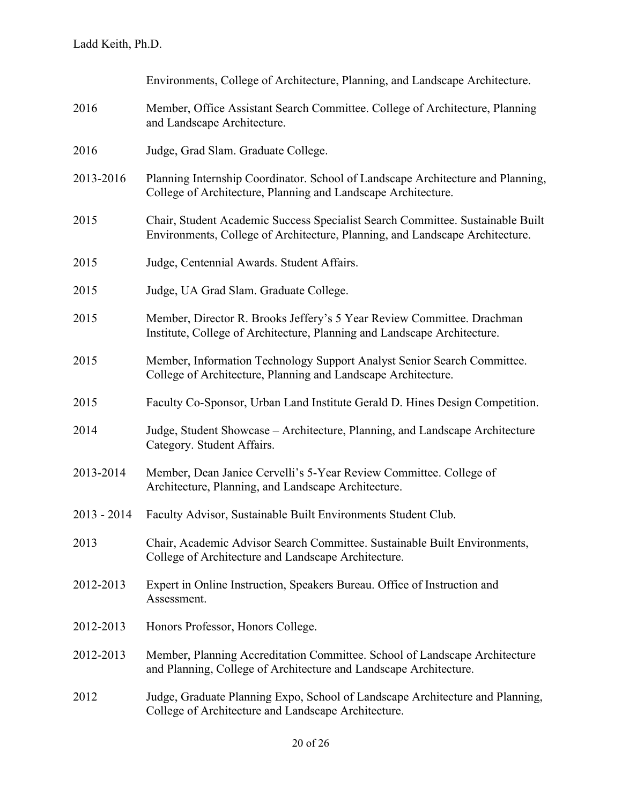|               | Environments, College of Architecture, Planning, and Landscape Architecture.                                                                                   |
|---------------|----------------------------------------------------------------------------------------------------------------------------------------------------------------|
| 2016          | Member, Office Assistant Search Committee. College of Architecture, Planning<br>and Landscape Architecture.                                                    |
| 2016          | Judge, Grad Slam. Graduate College.                                                                                                                            |
| 2013-2016     | Planning Internship Coordinator. School of Landscape Architecture and Planning,<br>College of Architecture, Planning and Landscape Architecture.               |
| 2015          | Chair, Student Academic Success Specialist Search Committee. Sustainable Built<br>Environments, College of Architecture, Planning, and Landscape Architecture. |
| 2015          | Judge, Centennial Awards. Student Affairs.                                                                                                                     |
| 2015          | Judge, UA Grad Slam. Graduate College.                                                                                                                         |
| 2015          | Member, Director R. Brooks Jeffery's 5 Year Review Committee. Drachman<br>Institute, College of Architecture, Planning and Landscape Architecture.             |
| 2015          | Member, Information Technology Support Analyst Senior Search Committee.<br>College of Architecture, Planning and Landscape Architecture.                       |
| 2015          | Faculty Co-Sponsor, Urban Land Institute Gerald D. Hines Design Competition.                                                                                   |
| 2014          | Judge, Student Showcase – Architecture, Planning, and Landscape Architecture<br>Category. Student Affairs.                                                     |
| 2013-2014     | Member, Dean Janice Cervelli's 5-Year Review Committee. College of<br>Architecture, Planning, and Landscape Architecture.                                      |
| $2013 - 2014$ | Faculty Advisor, Sustainable Built Environments Student Club.                                                                                                  |
| 2013          | Chair, Academic Advisor Search Committee. Sustainable Built Environments,<br>College of Architecture and Landscape Architecture.                               |
| 2012-2013     | Expert in Online Instruction, Speakers Bureau. Office of Instruction and<br>Assessment.                                                                        |
| 2012-2013     | Honors Professor, Honors College.                                                                                                                              |
| 2012-2013     | Member, Planning Accreditation Committee. School of Landscape Architecture<br>and Planning, College of Architecture and Landscape Architecture.                |
| 2012          | Judge, Graduate Planning Expo, School of Landscape Architecture and Planning,<br>College of Architecture and Landscape Architecture.                           |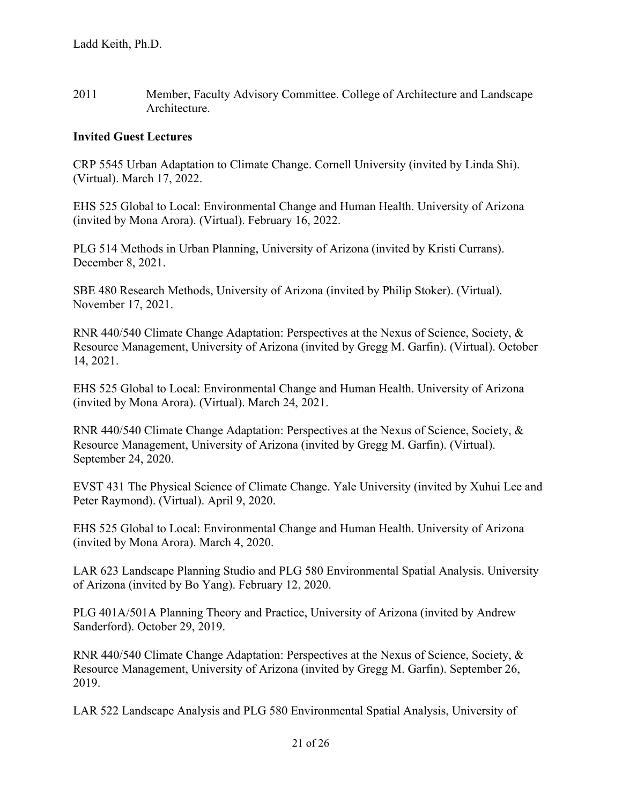2011 Member, Faculty Advisory Committee. College of Architecture and Landscape Architecture.

### **Invited Guest Lectures**

CRP 5545 Urban Adaptation to Climate Change. Cornell University (invited by Linda Shi). (Virtual). March 17, 2022.

EHS 525 Global to Local: Environmental Change and Human Health. University of Arizona (invited by Mona Arora). (Virtual). February 16, 2022.

PLG 514 Methods in Urban Planning, University of Arizona (invited by Kristi Currans). December 8, 2021.

SBE 480 Research Methods, University of Arizona (invited by Philip Stoker). (Virtual). November 17, 2021.

RNR 440/540 Climate Change Adaptation: Perspectives at the Nexus of Science, Society, & Resource Management, University of Arizona (invited by Gregg M. Garfin). (Virtual). October 14, 2021.

EHS 525 Global to Local: Environmental Change and Human Health. University of Arizona (invited by Mona Arora). (Virtual). March 24, 2021.

RNR 440/540 Climate Change Adaptation: Perspectives at the Nexus of Science, Society, & Resource Management, University of Arizona (invited by Gregg M. Garfin). (Virtual). September 24, 2020.

EVST 431 The Physical Science of Climate Change. Yale University (invited by Xuhui Lee and Peter Raymond). (Virtual). April 9, 2020.

EHS 525 Global to Local: Environmental Change and Human Health. University of Arizona (invited by Mona Arora). March 4, 2020.

LAR 623 Landscape Planning Studio and PLG 580 Environmental Spatial Analysis. University of Arizona (invited by Bo Yang). February 12, 2020.

PLG 401A/501A Planning Theory and Practice, University of Arizona (invited by Andrew Sanderford). October 29, 2019.

RNR 440/540 Climate Change Adaptation: Perspectives at the Nexus of Science, Society, & Resource Management, University of Arizona (invited by Gregg M. Garfin). September 26, 2019.

LAR 522 Landscape Analysis and PLG 580 Environmental Spatial Analysis, University of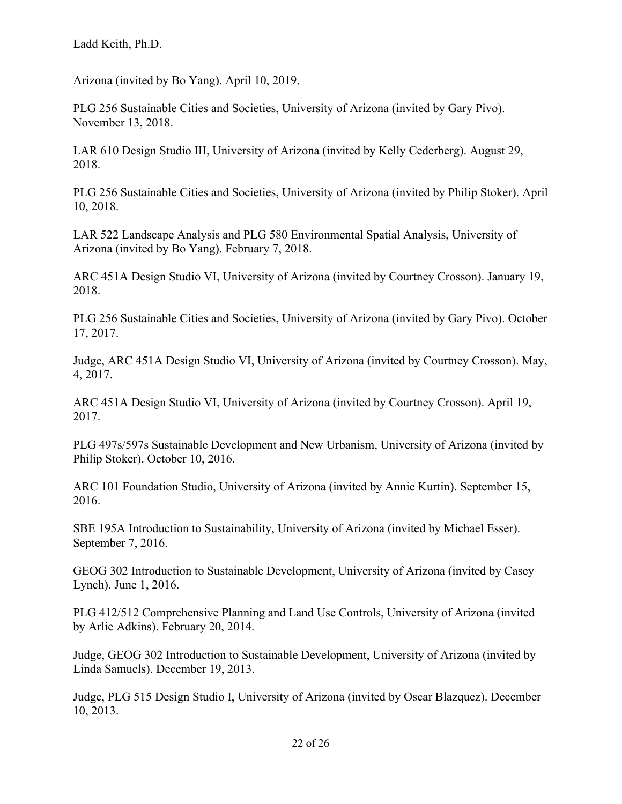Arizona (invited by Bo Yang). April 10, 2019.

PLG 256 Sustainable Cities and Societies, University of Arizona (invited by Gary Pivo). November 13, 2018.

LAR 610 Design Studio III, University of Arizona (invited by Kelly Cederberg). August 29, 2018.

PLG 256 Sustainable Cities and Societies, University of Arizona (invited by Philip Stoker). April 10, 2018.

LAR 522 Landscape Analysis and PLG 580 Environmental Spatial Analysis, University of Arizona (invited by Bo Yang). February 7, 2018.

ARC 451A Design Studio VI, University of Arizona (invited by Courtney Crosson). January 19, 2018.

PLG 256 Sustainable Cities and Societies, University of Arizona (invited by Gary Pivo). October 17, 2017.

Judge, ARC 451A Design Studio VI, University of Arizona (invited by Courtney Crosson). May, 4, 2017.

ARC 451A Design Studio VI, University of Arizona (invited by Courtney Crosson). April 19, 2017.

PLG 497s/597s Sustainable Development and New Urbanism, University of Arizona (invited by Philip Stoker). October 10, 2016.

ARC 101 Foundation Studio, University of Arizona (invited by Annie Kurtin). September 15, 2016.

SBE 195A Introduction to Sustainability, University of Arizona (invited by Michael Esser). September 7, 2016.

GEOG 302 Introduction to Sustainable Development, University of Arizona (invited by Casey Lynch). June 1, 2016.

PLG 412/512 Comprehensive Planning and Land Use Controls, University of Arizona (invited by Arlie Adkins). February 20, 2014.

Judge, GEOG 302 Introduction to Sustainable Development, University of Arizona (invited by Linda Samuels). December 19, 2013.

Judge, PLG 515 Design Studio I, University of Arizona (invited by Oscar Blazquez). December 10, 2013.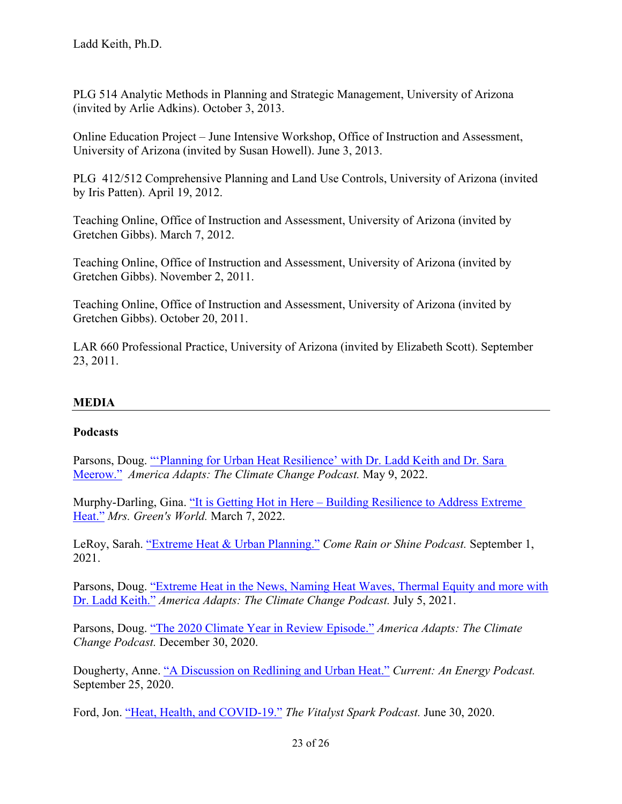PLG 514 Analytic Methods in Planning and Strategic Management, University of Arizona (invited by Arlie Adkins). October 3, 2013.

Online Education Project – June Intensive Workshop, Office of Instruction and Assessment, University of Arizona (invited by Susan Howell). June 3, 2013.

PLG 412/512 Comprehensive Planning and Land Use Controls, University of Arizona (invited by Iris Patten). April 19, 2012.

Teaching Online, Office of Instruction and Assessment, University of Arizona (invited by Gretchen Gibbs). March 7, 2012.

Teaching Online, Office of Instruction and Assessment, University of Arizona (invited by Gretchen Gibbs). November 2, 2011.

Teaching Online, Office of Instruction and Assessment, University of Arizona (invited by Gretchen Gibbs). October 20, 2011.

LAR 660 Professional Practice, University of Arizona (invited by Elizabeth Scott). September 23, 2011.

# **MEDIA**

# **Podcasts**

Parsons, Doug. ["'Planning for Urban Heat Resilience' with Dr. Ladd Keith and Dr. Sara](https://www.americaadapts.org/episodes/planning-for-urban-heat-resilience-with-dr-ladd-keith-and-dr-sara-meerow)  [Meerow."](https://www.americaadapts.org/episodes/planning-for-urban-heat-resilience-with-dr-ladd-keith-and-dr-sara-meerow) *America Adapts: The Climate Change Podcast.* May 9, 2022.

Murphy-Darling, Gina. "It is Getting Hot in Here – Building Resilience to Address Extreme [Heat."](https://www.mrsgreensworld.com/podcast/it-is-getting-hot-in-here-building-resilience-to-address-extreme-heat/) *Mrs. Green's World.* March 7, 2022.

LeRoy, Sarah. ["Extreme Heat](https://rainorshine.buzzsprout.com/1136681/9117743-extreme-heat-urban-planning) & Urban Planning." *Come Rain or Shine Podcast.* September 1, 2021.

Parsons, Doug. ["Extreme Heat in the News, Naming Heat Waves, Thermal Equity and more](https://www.americaadapts.org/episodes/extreme-heat-in-the-news-naming-heat-waves-thermal-equity-and-more-with-dr-ladd-keith) with [Dr. Ladd Keith."](https://www.americaadapts.org/episodes/extreme-heat-in-the-news-naming-heat-waves-thermal-equity-and-more-with-dr-ladd-keith) *America Adapts: The Climate Change Podcast.* July 5, 2021.

Parsons, Doug. ["The 2020 Climate Year in](https://www.americaadapts.org/episodes/the-2020-climate-year-in-review-episode) Review Episode." *America Adapts: The Climate Change Podcast.* December 30, 2020.

Dougherty, Anne. ["A Discussion on Redlining and Urban Heat."](https://soundcloud.com/illumeadvising/a-discussion-on-redlining-and-urban-heat) *Current: An Energy Podcast.* September 25, 2020.

Ford, Jon. ["Heat, Health, and COVID-19."](https://www.podbean.com/media/share/pb-b23bg-e1acfd) *The Vitalyst Spark Podcast.* June 30, 2020.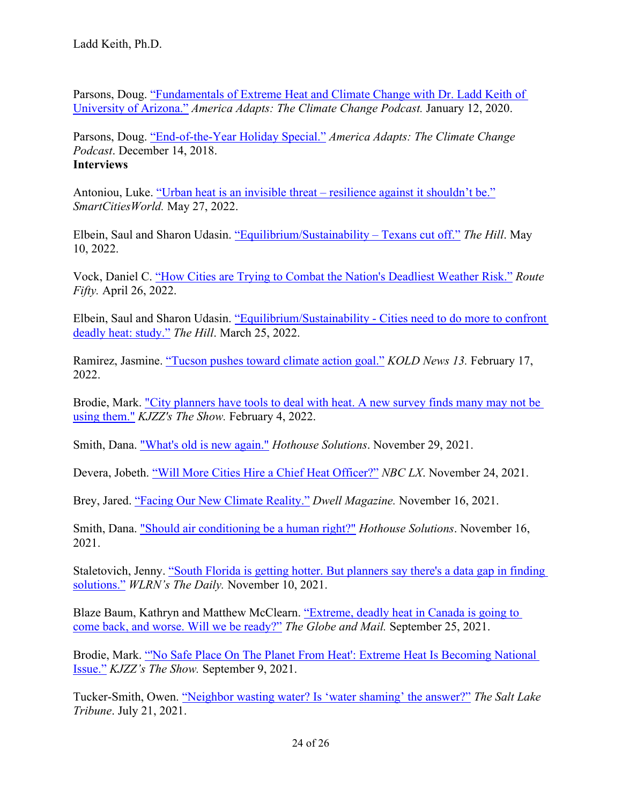Parsons, Doug. ["Fundamentals of Extreme Heat and Climate](https://www.americaadapts.org/episodes/fundamentals-of-extreme-heat-and-climate-change-with-dr-ladd-keith-of-university-of-arizona) Change with Dr. Ladd Keith of [University of Arizona."](https://www.americaadapts.org/episodes/fundamentals-of-extreme-heat-and-climate-change-with-dr-ladd-keith-of-university-of-arizona) *America Adapts: The Climate Change Podcast.* January 12, 2020.

Parsons, Doug. ["End-of-the-Year](https://www.americaadapts.org/episodes/2018/12/14/end-of-the-year-holiday-special-top-climate-stories-and-preview-of-2019-national-adaptation-forum) Holiday Special." *America Adapts: The Climate Change Podcast*. December 14, 2018. **Interviews**

Antoniou, Luke. ["Urban heat is an invisible threat – resilience against it shouldn't be."](https://www.smartcitiesworld.net/climate-action/climate-action/urban-heat-is-an-invisible-threat--resilience-against-it-shouldnt-be-7737) *SmartCitiesWorld.* May 27, 2022.

Elbein, Saul and Sharon Udasin. ["Equilibrium/Sustainability – Texans cut off."](https://thehill.com/policy/equilibrium-sustainability/3483709-equilibrium-sustainability-letting-weeds-run-wild/) *The Hill*. May 10, 2022.

Vock, Daniel C. ["How Cities are Trying to Combat the Nation's Deadliest Weather Risk."](https://www.route-fifty.com/infrastructure/2022/04/how-cities-are-trying-combat-nations-deadliest-weather-risk/366146/) *Route Fifty.* April 26, 2022.

Elbein, Saul and Sharon Udasin. ["Equilibrium/Sustainability - Cities need to do more to confront](https://thehill.com/policy/equilibrium-sustainability/599838-equilibrium-sustainability-us-agency-killed-400k-native/)  [deadly heat: study."](https://thehill.com/policy/equilibrium-sustainability/599838-equilibrium-sustainability-us-agency-killed-400k-native/) *The Hill*. March 25, 2022.

Ramirez, Jasmine. ["Tucson pushes toward climate action goal."](https://www.kold.com/2022/02/18/tucson-pushes-toward-climate-action-goal/) *KOLD News 13.* February 17, 2022.

Brodie, Mark. ["City planners have tools to deal with heat. A new survey finds many may not be](https://kjzz.org/content/1753240/city-planners-have-tools-deal-heat-new-survey-finds-many-may-not-be-using-them)  [using them."](https://kjzz.org/content/1753240/city-planners-have-tools-deal-heat-new-survey-finds-many-may-not-be-using-them) *KJZZ's The Show.* February 4, 2022.

Smith, Dana. ["What's old is new again."](https://www.hothouse.solutions/archive-blog/the-doctor-who-diagnosed-climate-chage) *Hothouse Solutions*. November 29, 2021.

Devera, Jobeth. ["Will More Cities Hire a Chief Heat Officer?"](https://www.lx.com/environment/will-more-cities-hire-a-chief-heat-officer/45574) *NBC LX*. November 24, 2021.

Brey, Jared. ["Facing Our New Climate Reality."](https://www.dwell.com/article/facing-our-new-climate-reality-f7bfe40e) *Dwell Magazine.* November 16, 2021.

Smith, Dana. ["Should air conditioning be a human right?"](https://www.hothouse.solutions/archive-blog/cop26-its-done) *Hothouse Solutions*. November 16, 2021.

Staletovich, Jenny. ["South Florida is getting hotter. But planners say there's a data gap in finding](https://www.wlrn.org/news/2021-11-10/south-florida-is-getting-hotter-but-planners-say-theres-a-data-gap-in-finding-solutions)  [solutions."](https://www.wlrn.org/news/2021-11-10/south-florida-is-getting-hotter-but-planners-say-theres-a-data-gap-in-finding-solutions) *WLRN's The Daily.* November 10, 2021.

Blaze Baum, Kathryn and Matthew McClearn. ["Extreme, deadly heat in Canada is going to](https://www.theglobeandmail.com/canada/article-extreme-deadly-heat-in-canada-is-going-to-come-back-and-worse-will-we/)  [come back, and worse. Will we be ready?"](https://www.theglobeandmail.com/canada/article-extreme-deadly-heat-in-canada-is-going-to-come-back-and-worse-will-we/) *The Globe and Mail.* September 25, 2021.

Brodie, Mark. "'No Safe Place On The [Planet From Heat': Extreme Heat Is Becoming National](https://kjzz.org/content/1715313/no-safe-place-planet-heat-extreme-heat-becoming-national-issue)  [Issue."](https://kjzz.org/content/1715313/no-safe-place-planet-heat-extreme-heat-becoming-national-issue) *KJZZ's The Show.* September 9, 2021.

Tucker-Smith, Owen. ["Neighbor wasting water? Is 'water shaming' the answer?"](https://www.sltrib.com/news/environment/2021/07/12/neighbor-wasting-water-is/) *The Salt Lake Tribune*. July 21, 2021.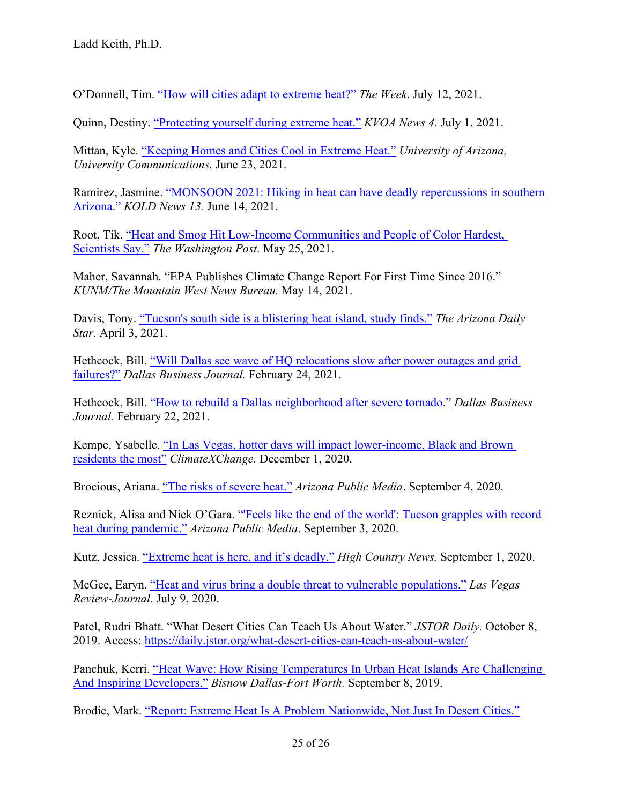O'Donnell, Tim. "How [will cities adapt to extreme heat?"](https://theweek.com/news/1002508/how-will-cities-adapt-to-extreme-heat) *The Week*. July 12, 2021.

Quinn, Destiny. ["Protecting yourself during extreme](https://kvoa.com/news/2021/07/01/protecting-yourself-during-extreme-heat/) heat." *KVOA News 4.* July 1, 2021.

Mittan, Kyle. ["Keeping Homes and Cities Cool in Extreme Heat."](https://news.arizona.edu/story/keeping-homes-and-cities-cool-extreme-heat) *University of Arizona, University Communications.* June 23, 2021.

Ramirez, Jasmine. ["MONSOON 2021: Hiking in heat can have deadly repercussions in southern](https://www.kold.com/2021/06/14/monsoon-2021-hiking-heat-can-have-deadly-repercussions-southern-arizona/)  [Arizona."](https://www.kold.com/2021/06/14/monsoon-2021-hiking-heat-can-have-deadly-repercussions-southern-arizona/) *KOLD News 13.* June 14, 2021.

Root, Tik. ["Heat and Smog Hit Low-Income Communities and People of Color Hardest,](https://www.washingtonpost.com/climate-environment/2021/05/25/heat-inequality-climate-change/)  [Scientists Say."](https://www.washingtonpost.com/climate-environment/2021/05/25/heat-inequality-climate-change/) *The Washington Post*. May 25, 2021.

Maher, Savannah. "EPA Publishes Climate Change Report For First Time Since 2016." *KUNM/The Mountain West News Bureau.* May 14, 2021.

Davis, Tony. ["Tucson's south side is a blistering heat island, study finds."](https://tucson.com/news/local/tucsons-south-side-is-a-blistering-heat-island-study-finds/article_49c18a5b-0d9b-5528-acd5-5f578373d225.html) *The Arizona Daily Star.* April 3, 2021.

Hethcock, Bill. ["Will Dallas see wave of HQ relocations](https://www.bizjournals.com/dallas/news/2021/02/24/dallas-corporate-relocations-power-outages.html) slow after power outages and grid [failures?"](https://www.bizjournals.com/dallas/news/2021/02/24/dallas-corporate-relocations-power-outages.html) *Dallas Business Journal.* February 24, 2021.

Hethcock, Bill. "How to [rebuild a Dallas neighborhood after severe tornado."](https://www.bizjournals.com/dallas/news/2021/02/22/tornado-dallas-dart-station-walnut-hill.html) *Dallas Business Journal.* February 22, 2021.

Kempe, Ysabelle. ["In Las Vegas, hotter days will impact lower-income, Black and Brown](https://climate-xchange.org/2020/12/01/in-las-vegas-hotter-days-will-impact-lower-income-black-and-brown-residents-the-most/)  [residents the most"](https://climate-xchange.org/2020/12/01/in-las-vegas-hotter-days-will-impact-lower-income-black-and-brown-residents-the-most/) *ClimateXChange.* December 1, 2020.

Brocious, Ariana. "The [risks of severe heat."](https://news.azpm.org/p/news-topical-nature/2020/9/4/179760-the-risks-of-severe-heat/) *Arizona Public Media*. September 4, 2020.

Reznick, Alisa and Nick O'Gara. ["'Feels like the end of the world': Tucson grapples with record](https://news.azpm.org/p/news-articles/2020/9/3/179724-feels-like-the-end-of-the-world-tucson-grapples-with-record-heat-during-pandemic/)  [heat during pandemic."](https://news.azpm.org/p/news-articles/2020/9/3/179724-feels-like-the-end-of-the-world-tucson-grapples-with-record-heat-during-pandemic/) *Arizona Public Media*. September 3, 2020.

Kutz, Jessica. ["Extreme heat is here, and it's deadly."](https://www.hcn.org/issues/52.9/south-climate-change-extreme-heat-is-here-and-its-deadly) *High Country News.* September 1, 2020.

McGee, Earyn. "Heat [and virus bring a double threat to vulnerable populations."](https://www.reviewjournal.com/life/health/heat-and-virus-bring-a-double-threat-to-vulnerable-populations-2070804/) *Las Vegas Review-Journal.* July 9, 2020.

Patel, Rudri Bhatt. "What Desert Cities Can Teach Us About Water." *JSTOR Daily.* October 8, 2019. Access:<https://daily.jstor.org/what-desert-cities-can-teach-us-about-water/>

Panchuk, Kerri. ["Heat Wave: How Rising Temperatures In Urban](https://www.bisnow.com/dallas-ft-worth/news/construction-development/heat-wave-how-rising-temperatures-in-urban-heat-islands-are-challenging-and-inspiring-developers-100702) Heat Islands Are Challenging [And Inspiring Developers."](https://www.bisnow.com/dallas-ft-worth/news/construction-development/heat-wave-how-rising-temperatures-in-urban-heat-islands-are-challenging-and-inspiring-developers-100702) *Bisnow Dallas-Fort Worth.* September 8, 2019.

Brodie, Mark. "Report: Extreme Heat Is [A Problem Nationwide, Not Just In](https://kjzz.org/content/1154791/report-extreme-heat-problem-nationwide-not-just-desert-cities) Desert Cities."